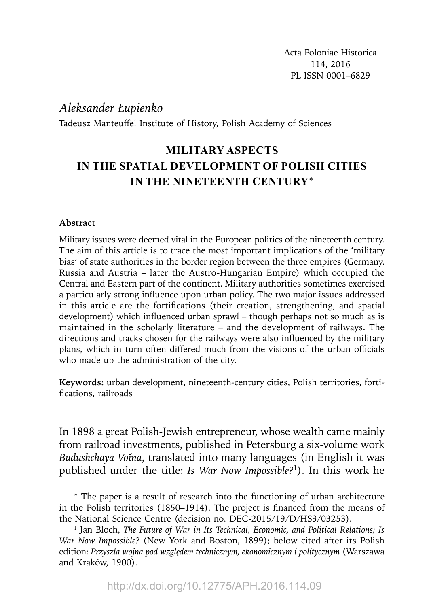# *Aleksander Łupienko*

Tadeusz Manteuffel Institute of History, Polish Academy of Sciences

# **MILITARY ASPECTS IN THE SPATIAL DEVELOPMENT OF POLISH CITIES IN THE NINETEENTH CENTURY**\*

# **Abstract**

Military issues were deemed vital in the European politics of the nineteenth century. The aim of this article is to trace the most important implications of the 'military bias' of state authorities in the border region between the three empires (Germany, Russia and Austria – later the Austro-Hungarian Empire) which occupied the Central and Eastern part of the continent. Military authorities sometimes exercised a particularly strong influence upon urban policy. The two major issues addressed in this article are the fortifications (their creation, strengthening, and spatial development) which influenced urban sprawl – though perhaps not so much as is maintained in the scholarly literature – and the development of railways. The directions and tracks chosen for the railways were also influenced by the military plans, which in turn often differed much from the visions of the urban officials who made up the administration of the city.

**Keywords:** urban development, nineteenth-century cities, Polish territories, fortifications, railroads

In 1898 a great Polish-Jewish entrepreneur, whose wealth came mainly from railroad investments, published in Petersburg a six-volume work *Budushchaya Voĭna*, translated into many languages (in English it was published under the title: *Is War Now Impossible?*1). In this work he

<sup>\*</sup> The paper is a result of research into the functioning of urban architecture in the Polish territories  $(1850-1914)$ . The project is financed from the means of the National Science Centre (decision no. DEC-2015/19/D/HS3/03253).

<sup>&</sup>lt;sup>1</sup> Jan Bloch, *The Future of War in Its Technical, Economic, and Political Relations; Is War Now Impossible?* (New York and Boston, 1899); below cited after its Polish edition: *Przyszła wojna pod względem technicznym, ekonomicznym i politycznym* (Warszawa and Kraków, 1900).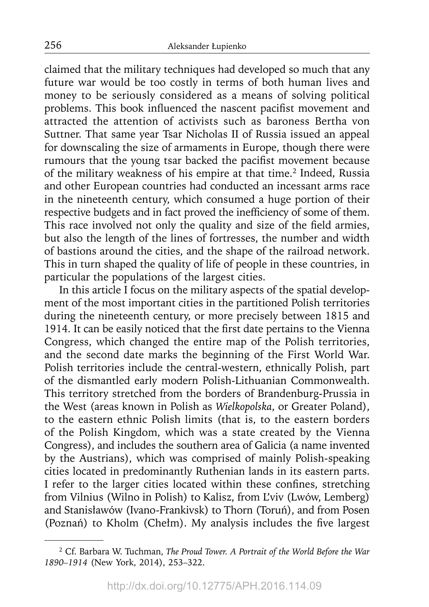claimed that the military techniques had developed so much that any future war would be too costly in terms of both human lives and money to be seriously considered as a means of solving political problems. This book influenced the nascent pacifist movement and attracted the attention of activists such as baroness Bertha von Suttner. That same year Tsar Nicholas II of Russia issued an appeal for downscaling the size of armaments in Europe, though there were rumours that the young tsar backed the pacifist movement because of the military weakness of his empire at that time.<sup>2</sup> Indeed, Russia and other European countries had conducted an incessant arms race in the nineteenth century, which consumed a huge portion of their respective budgets and in fact proved the inefficiency of some of them. This race involved not only the quality and size of the field armies, but also the length of the lines of fortresses, the number and width of bastions around the cities, and the shape of the railroad network. This in turn shaped the quality of life of people in these countries, in particular the populations of the largest cities.

In this article I focus on the military aspects of the spatial development of the most important cities in the partitioned Polish territories during the nineteenth century, or more precisely between 1815 and 1914. It can be easily noticed that the first date pertains to the Vienna Congress, which changed the entire map of the Polish territories, and the second date marks the beginning of the First World War. Polish territories include the central-western, ethnically Polish, part of the dismantled early modern Polish-Lithuanian Commonwealth. This territory stretched from the borders of Brandenburg-Prussia in the West (areas known in Polish as *Wielkopolska*, or Greater Poland), to the eastern ethnic Polish limits (that is, to the eastern borders of the Polish Kingdom, which was a state created by the Vienna Congress), and includes the southern area of Galicia (a name invented by the Austrians), which was comprised of mainly Polish-speaking cities located in predominantly Ruthenian lands in its eastern parts. I refer to the larger cities located within these confines, stretching from Vilnius (Wilno in Polish) to Kalisz, from L'viv (Lwów, Lemberg) and Stanisławów (Ivano-Frankivsk) to Thorn (Toruń), and from Posen (Poznań) to Kholm (Chełm). My analysis includes the five largest

<sup>2</sup> Cf. Barbara W. Tuchman, *The Proud Tower. A Portrait of the World Before the War 1890–1914* (New York, 2014), 253–322.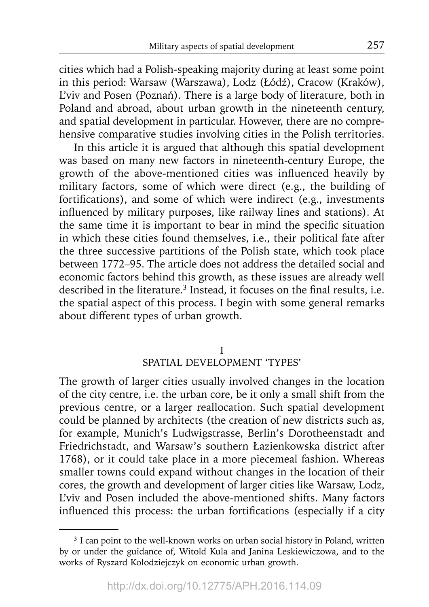cities which had a Polish-speaking majority during at least some point in this period: Warsaw (Warszawa), Lodz (Łódź), Cracow (Kraków), L'viv and Posen (Poznań). There is a large body of literature, both in Poland and abroad, about urban growth in the nineteenth century, and spatial development in particular. However, there are no comprehensive comparative studies involving cities in the Polish territories.

In this article it is argued that although this spatial development was based on many new factors in nineteenth-century Europe, the growth of the above-mentioned cities was influenced heavily by military factors, some of which were direct (e.g., the building of fortifications), and some of which were indirect (e.g., investments influenced by military purposes, like railway lines and stations). At the same time it is important to bear in mind the specific situation in which these cities found themselves, i.e., their political fate after the three successive partitions of the Polish state, which took place between 1772–95. The article does not address the detailed social and economic factors behind this growth, as these issues are already well described in the literature.<sup>3</sup> Instead, it focuses on the final results, i.e. the spatial aspect of this process. I begin with some general remarks about different types of urban growth.

## I SPATIAL DEVELOPMENT 'TYPES'

The growth of larger cities usually involved changes in the location of the city centre, i.e. the urban core, be it only a small shift from the previous centre, or a larger reallocation. Such spatial development could be planned by architects (the creation of new districts such as, for example, Munich's Ludwigstrasse, Berlin's Dorotheenstadt and Friedrichstadt, and Warsaw's southern Łazienkowska district after 1768), or it could take place in a more piecemeal fashion. Whereas smaller towns could expand without changes in the location of their cores, the growth and development of larger cities like Warsaw, Lodz, L'viv and Posen included the above-mentioned shifts. Many factors influenced this process: the urban fortifications (especially if a city

<sup>&</sup>lt;sup>3</sup> I can point to the well-known works on urban social history in Poland, written by or under the guidance of, Witold Kula and Janina Leskiewiczowa, and to the works of Ryszard Kołodziejczyk on economic urban growth.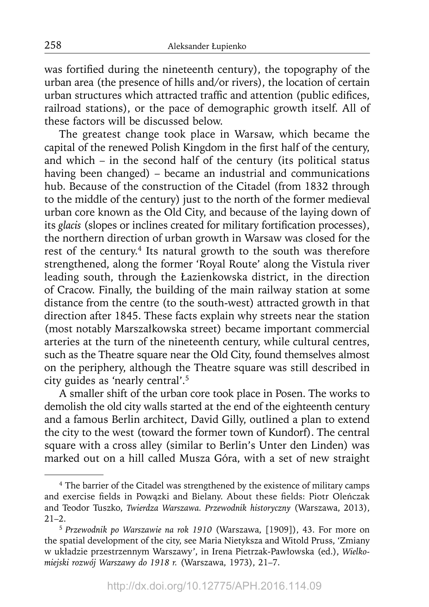was fortified during the nineteenth century), the topography of the urban area (the presence of hills and/or rivers), the location of certain urban structures which attracted traffic and attention (public edifices, railroad stations), or the pace of demographic growth itself. All of these factors will be discussed below.

The greatest change took place in Warsaw, which became the capital of the renewed Polish Kingdom in the first half of the century, and which – in the second half of the century (its political status having been changed) – became an industrial and communications hub. Because of the construction of the Citadel (from 1832 through to the middle of the century) just to the north of the former medieval urban core known as the Old City, and because of the laying down of its *glacis* (slopes or inclines created for military fortification processes), the northern direction of urban growth in Warsaw was closed for the rest of the century.<sup>4</sup> Its natural growth to the south was therefore strengthened, along the former 'Royal Route' along the Vistula river leading south, through the Łazienkowska district, in the direction of Cracow. Finally, the building of the main railway station at some distance from the centre (to the south-west) attracted growth in that direction after 1845. These facts explain why streets near the station (most notably Marszałkowska street) became important commercial arteries at the turn of the nineteenth century, while cultural centres, such as the Theatre square near the Old City, found themselves almost on the periphery, although the Theatre square was still described in city guides as 'nearly central'.5

A smaller shift of the urban core took place in Posen. The works to demolish the old city walls started at the end of the eighteenth century and a famous Berlin architect, David Gilly, outlined a plan to extend the city to the west (toward the former town of Kundorf). The central square with a cross alley (similar to Berlin's Unter den Linden) was marked out on a hill called Musza Góra, with a set of new straight

<sup>4</sup> The barrier of the Citadel was strengthened by the existence of military camps and exercise fields in Powązki and Bielany. About these fields: Piotr Oleńczak and Teodor Tuszko, *Twierdza Warszawa. Przewodnik historyczny* (Warszawa, 2013),  $21 - 2$ .

<sup>5</sup>*Przewodnik po Warszawie na rok 1910* (Warszawa, [1909]), 43. For more on the spatial development of the city, see Maria Nietyksza and Witold Pruss, 'Zmiany w układzie przestrzennym Warszawy', in Irena Pietrzak-Pawłowska (ed.), *Wielkomiejski rozwój Warszawy do 1918 r.* (Warszawa, 1973), 21–7.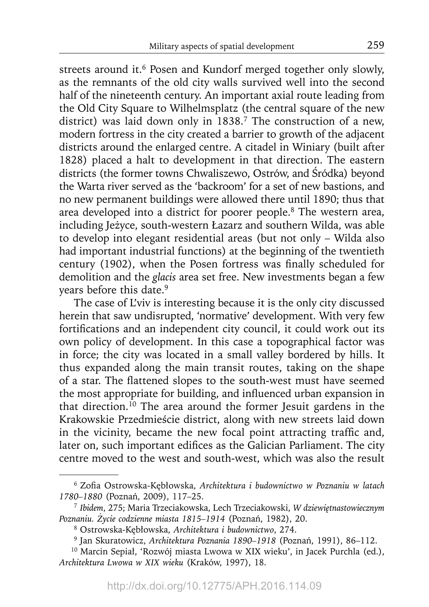streets around it.<sup>6</sup> Posen and Kundorf merged together only slowly, as the remnants of the old city walls survived well into the second half of the nineteenth century. An important axial route leading from the Old City Square to Wilhelmsplatz (the central square of the new district) was laid down only in 1838.<sup>7</sup> The construction of a new, modern fortress in the city created a barrier to growth of the adjacent districts around the enlarged centre. A citadel in Winiary (built after 1828) placed a halt to development in that direction. The eastern districts (the former towns Chwaliszewo, Ostrów, and Śródka) beyond the Warta river served as the 'backroom' for a set of new bastions, and no new permanent buildings were allowed there until 1890; thus that area developed into a district for poorer people.8 The western area, including Jeżyce, south-western Łazarz and southern Wilda, was able to develop into elegant residential areas (but not only – Wilda also had important industrial functions) at the beginning of the twentieth century (1902), when the Posen fortress was finally scheduled for demolition and the *glacis* area set free. New investments began a few years before this date.<sup>9</sup>

The case of L'viv is interesting because it is the only city discussed herein that saw undisrupted, 'normative' development. With very few fortifications and an independent city council, it could work out its own policy of development. In this case a topographical factor was in force; the city was located in a small valley bordered by hills. It thus expanded along the main transit routes, taking on the shape of a star. The flattened slopes to the south-west must have seemed the most appropriate for building, and influenced urban expansion in that direction.10 The area around the former Jesuit gardens in the Krakowskie Przedmieście district, along with new streets laid down in the vicinity, became the new focal point attracting traffic and, later on, such important edifices as the Galician Parliament. The city centre moved to the west and south-west, which was also the result

<sup>&</sup>lt;sup>6</sup> Zofia Ostrowska-Kębłowska, Architektura i budownictwo w Poznaniu w latach *1780–1880* (Poznań, 2009), 117–25.

<sup>7</sup>*Ibidem*, 275; Maria Trzeciakowska, Lech Trzeciakowski, *W dziewiętnastowiecznym Poznaniu. Życie codzienne miasta 1815–1914* (Poznań, 1982), 20.

<sup>8</sup> Ostrowska-Kębłowska, *Architektura i budownictwo*, 274.

<sup>9</sup> Jan Skuratowicz, *Architektura Poznania 1890–1918* (Poznań, 1991), 86–112.

<sup>10</sup> Marcin Sepiał, 'Rozwój miasta Lwowa w XIX wieku', in Jacek Purchla (ed.), *Architektura Lwowa w XIX wieku* (Kraków, 1997), 18.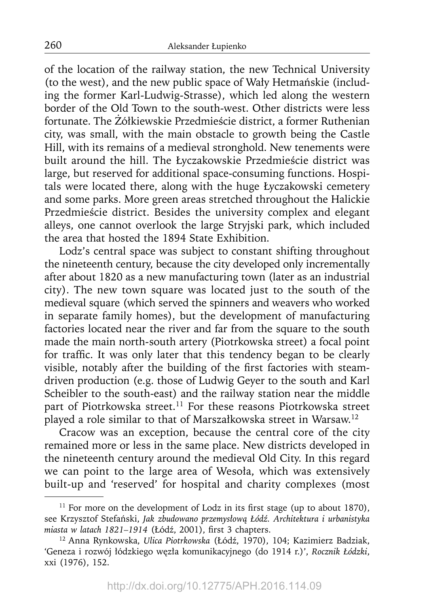of the location of the railway station, the new Technical University (to the west), and the new public space of Wały Hetmańskie (including the former Karl-Ludwig-Strasse), which led along the western border of the Old Town to the south-west. Other districts were less fortunate. The Żółkiewskie Przedmieście district, a former Ruthenian city, was small, with the main obstacle to growth being the Castle Hill, with its remains of a medieval stronghold. New tenements were built around the hill. The Łyczakowskie Przedmieście district was large, but reserved for additional space-consuming functions. Hospitals were located there, along with the huge Łyczakowski cemetery and some parks. More green areas stretched throughout the Halickie Przedmieście district. Besides the university complex and elegant alleys, one cannot overlook the large Stryjski park, which included the area that hosted the 1894 State Exhibition.

Lodz's central space was subject to constant shifting throughout the nineteenth century, because the city developed only incrementally after about 1820 as a new manufacturing town (later as an industrial city). The new town square was located just to the south of the medieval square (which served the spinners and weavers who worked in separate family homes), but the development of manufacturing factories located near the river and far from the square to the south made the main north-south artery (Piotrkowska street) a focal point for traffic. It was only later that this tendency began to be clearly visible, notably after the building of the first factories with steamdriven production (e.g. those of Ludwig Geyer to the south and Karl Scheibler to the south-east) and the railway station near the middle part of Piotrkowska street.<sup>11</sup> For these reasons Piotrkowska street played a role similar to that of Marszałkowska street in Warsaw.12

Cracow was an exception, because the central core of the city remained more or less in the same place. New districts developed in the nineteenth century around the medieval Old City. In this regard we can point to the large area of Wesoła, which was extensively built-up and 'reserved' for hospital and charity complexes (most

 $11$  For more on the development of Lodz in its first stage (up to about 1870), see Krzysztof Stefański, *Jak zbudowano przemysłową Łódź. Architektura i urbanistyka miasta w latach 1821–1914* (Łódź, 2001), first 3 chapters.

<sup>12</sup> Anna Rynkowska, *Ulica Piotrkowska* (Łódź, 1970), 104; Kazimierz Badziak, 'Geneza i rozwój łódzkiego węzła komunikacyjnego (do 1914 r.)', *Rocznik Łódzki*, xxi (1976), 152.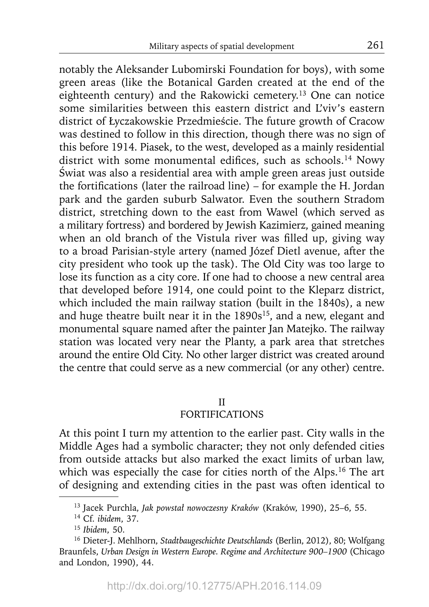notably the Aleksander Lubomirski Foundation for boys), with some green areas (like the Botanical Garden created at the end of the eighteenth century) and the Rakowicki cemetery.<sup>13</sup> One can notice some similarities between this eastern district and L'viv's eastern district of Łyczakowskie Przedmieście. The future growth of Cracow was destined to follow in this direction, though there was no sign of this before 1914. Piasek, to the west, developed as a mainly residential district with some monumental edifices, such as schools.<sup>14</sup> Nowy Świat was also a residential area with ample green areas just outside the fortifications (later the railroad line) – for example the H. Jordan park and the garden suburb Salwator. Even the southern Stradom district, stretching down to the east from Wawel (which served as a military fortress) and bordered by Jewish Kazimierz, gained meaning when an old branch of the Vistula river was filled up, giving way to a broad Parisian-style artery (named Józef Dietl avenue, after the city president who took up the task). The Old City was too large to lose its function as a city core. If one had to choose a new central area that developed before 1914, one could point to the Kleparz district, which included the main railway station (built in the 1840s), a new and huge theatre built near it in the 1890s<sup>15</sup>, and a new, elegant and monumental square named after the painter Jan Matejko. The railway station was located very near the Planty, a park area that stretches around the entire Old City. No other larger district was created around the centre that could serve as a new commercial (or any other) centre.

# II

# FORTIFICATIONS

At this point I turn my attention to the earlier past. City walls in the Middle Ages had a symbolic character; they not only defended cities from outside attacks but also marked the exact limits of urban law, which was especially the case for cities north of the Alps.<sup>16</sup> The art of designing and extending cities in the past was often identical to

<sup>13</sup> Jacek Purchla, *Jak powstał nowoczesny Kraków* (Kraków, 1990), 25–6, 55.

<sup>14</sup> Cf. *ibidem*, 37.

<sup>15</sup>*Ibidem*, 50.

<sup>16</sup> Dieter-J. Mehlhorn, *Stadtbaugeschichte Deutschlands* (Berlin, 2012), 80; Wolfgang Braunfels, *Urban Design in Western Europe. Regime and Architecture 900–1900* (Chicago and London, 1990), 44.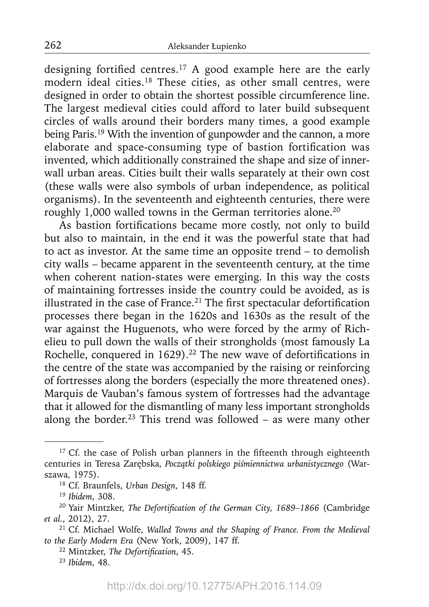designing fortified centres.<sup>17</sup> A good example here are the early modern ideal cities.18 These cities, as other small centres, were designed in order to obtain the shortest possible circumference line. The largest medieval cities could afford to later build subsequent circles of walls around their borders many times, a good example being Paris.<sup>19</sup> With the invention of gunpowder and the cannon, a more elaborate and space-consuming type of bastion fortification was invented, which additionally constrained the shape and size of innerwall urban areas. Cities built their walls separately at their own cost (these walls were also symbols of urban independence, as political organisms). In the seventeenth and eighteenth centuries, there were roughly 1,000 walled towns in the German territories alone.<sup>20</sup>

As bastion fortifications became more costly, not only to build but also to maintain, in the end it was the powerful state that had to act as investor. At the same time an opposite trend – to demolish city walls – became apparent in the seventeenth century, at the time when coherent nation-states were emerging. In this way the costs of maintaining fortresses inside the country could be avoided, as is illustrated in the case of France.<sup>21</sup> The first spectacular defortification processes there began in the 1620s and 1630s as the result of the war against the Huguenots, who were forced by the army of Richelieu to pull down the walls of their strongholds (most famously La Rochelle, conquered in  $1629$ ).<sup>22</sup> The new wave of defortifications in the centre of the state was accompanied by the raising or reinforcing of fortresses along the borders (especially the more threatened ones). Marquis de Vauban's famous system of fortresses had the advantage that it allowed for the dismantling of many less important strongholds along the border.<sup>23</sup> This trend was followed – as were many other

<sup>23</sup>*Ibidem*, 48.

 $17$  Cf. the case of Polish urban planners in the fifteenth through eighteenth centuries in Teresa Zarębska, *Początki polskiego piśmiennictwa urbanistycznego* (Warszawa, 1975).

<sup>18</sup> Cf. Braunfels, *Urban Design*, 148 ff.

<sup>19</sup>*Ibidem*, 308.

<sup>&</sup>lt;sup>20</sup> Yair Mintzker, *The Defortification of the German City*, 1689-1866 (Cambridge *et al.*, 2012), 27.

<sup>21</sup> Cf. Michael Wolfe, *Walled Towns and the Shaping of France. From the Medieval to the Early Modern Era* (New York, 2009), 147 ff.

<sup>&</sup>lt;sup>22</sup> Mintzker, *The Defortification*, 45.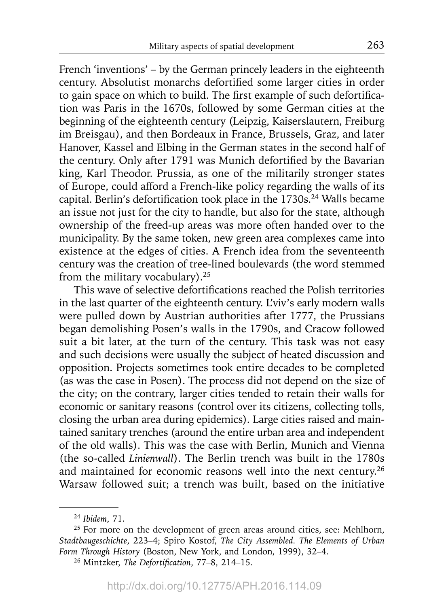French 'inventions' – by the German princely leaders in the eighteenth century. Absolutist monarchs defortified some larger cities in order to gain space on which to build. The first example of such defortification was Paris in the 1670s, followed by some German cities at the beginning of the eighteenth century (Leipzig, Kaiserslautern, Freiburg im Breisgau), and then Bordeaux in France, Brussels, Graz, and later Hanover, Kassel and Elbing in the German states in the second half of the century. Only after 1791 was Munich defortified by the Bavarian king, Karl Theodor. Prussia, as one of the militarily stronger states of Europe, could afford a French-like policy regarding the walls of its capital. Berlin's defortification took place in the 1730s.<sup>24</sup> Walls became an issue not just for the city to handle, but also for the state, although ownership of the freed-up areas was more often handed over to the municipality. By the same token, new green area complexes came into existence at the edges of cities. A French idea from the seventeenth century was the creation of tree-lined boulevards (the word stemmed from the military vocabulary).25

This wave of selective defortifications reached the Polish territories in the last quarter of the eighteenth century. L'viv's early modern walls were pulled down by Austrian authorities after 1777, the Prussians began demolishing Posen's walls in the 1790s, and Cracow followed suit a bit later, at the turn of the century. This task was not easy and such decisions were usually the subject of heated discussion and opposition. Projects sometimes took entire decades to be completed (as was the case in Posen). The process did not depend on the size of the city; on the contrary, larger cities tended to retain their walls for economic or sanitary reasons (control over its citizens, collecting tolls, closing the urban area during epidemics). Large cities raised and maintained sanitary trenches (around the entire urban area and independent of the old walls). This was the case with Berlin, Munich and Vienna (the so-called *Linienwall*). The Berlin trench was built in the 1780s and maintained for economic reasons well into the next century.<sup>26</sup> Warsaw followed suit; a trench was built, based on the initiative

<sup>24</sup>*Ibidem*, 71.

<sup>&</sup>lt;sup>25</sup> For more on the development of green areas around cities, see: Mehlhorn, *Stadtbaugeschichte*, 223–4; Spiro Kostof, *The City Assembled. The Elements of Urban Form Through History* (Boston, New York, and London, 1999), 32–4.

<sup>&</sup>lt;sup>26</sup> Mintzker, *The Defortification*, 77-8, 214-15.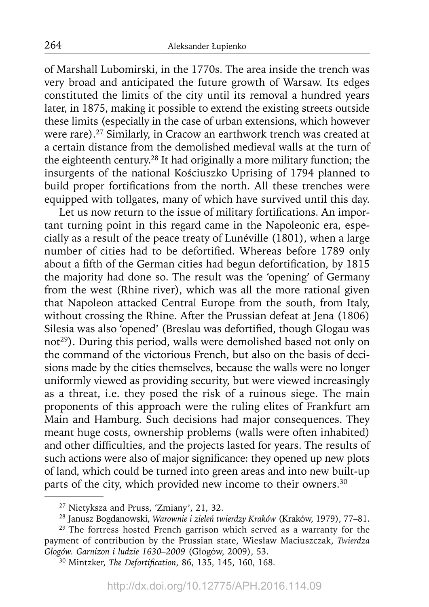of Marshall Lubomirski, in the 1770s. The area inside the trench was very broad and anticipated the future growth of Warsaw. Its edges constituted the limits of the city until its removal a hundred years later, in 1875, making it possible to extend the existing streets outside these limits (especially in the case of urban extensions, which however were rare).<sup>27</sup> Similarly, in Cracow an earthwork trench was created at a certain distance from the demolished medieval walls at the turn of the eighteenth century.28 It had originally a more military function; the insurgents of the national Kościuszko Uprising of 1794 planned to build proper fortifications from the north. All these trenches were equipped with tollgates, many of which have survived until this day.

Let us now return to the issue of military fortifications. An important turning point in this regard came in the Napoleonic era, especially as a result of the peace treaty of Lunéville (1801), when a large number of cities had to be defortified. Whereas before 1789 only about a fifth of the German cities had begun defortification, by 1815 the majority had done so. The result was the 'opening' of Germany from the west (Rhine river), which was all the more rational given that Napoleon attacked Central Europe from the south, from Italy, without crossing the Rhine. After the Prussian defeat at Jena (1806) Silesia was also 'opened' (Breslau was defortified, though Glogau was not<sup>29</sup>). During this period, walls were demolished based not only on the command of the victorious French, but also on the basis of decisions made by the cities themselves, because the walls were no longer uniformly viewed as providing security, but were viewed increasingly as a threat, i.e. they posed the risk of a ruinous siege. The main proponents of this approach were the ruling elites of Frankfurt am Main and Hamburg. Such decisions had major consequences. They meant huge costs, ownership problems (walls were often inhabited) and other difficulties, and the projects lasted for years. The results of such actions were also of major significance: they opened up new plots of land, which could be turned into green areas and into new built-up parts of the city, which provided new income to their owners.<sup>30</sup>

<sup>27</sup> Nietyksza and Pruss, 'Zmiany', 21, 32.

<sup>28</sup> Janusz Bogdanowski, *Warownie i zieleń twierdzy Kraków* (Kraków, 1979), 77–81.

<sup>&</sup>lt;sup>29</sup> The fortress hosted French garrison which served as a warranty for the payment of contribution by the Prussian state, Wiesław Maciuszczak, *Twierdza Głogów. Garnizon i ludzie 1630–2009* (Głogów, 2009), 53.

<sup>&</sup>lt;sup>30</sup> Mintzker, *The Defortification*, 86, 135, 145, 160, 168.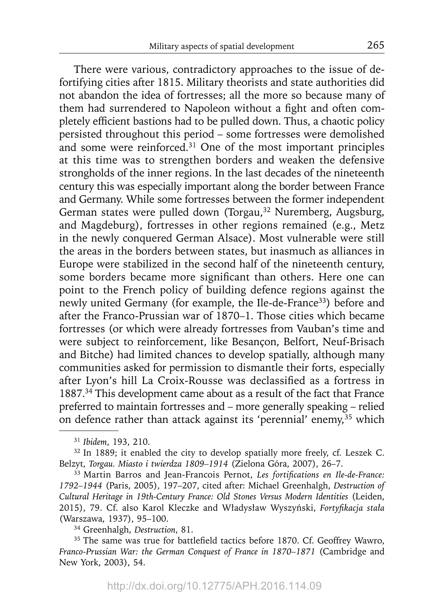There were various, contradictory approaches to the issue of defortifying cities after 1815. Military theorists and state authorities did not abandon the idea of fortresses; all the more so because many of them had surrendered to Napoleon without a fight and often completely efficient bastions had to be pulled down. Thus, a chaotic policy persisted throughout this period – some fortresses were demolished and some were reinforced.31 One of the most important principles at this time was to strengthen borders and weaken the defensive strongholds of the inner regions. In the last decades of the nineteenth century this was especially important along the border between France and Germany. While some fortresses between the former independent German states were pulled down (Torgau,<sup>32</sup> Nuremberg, Augsburg, and Magdeburg), fortresses in other regions remained (e.g., Metz in the newly conquered German Alsace). Most vulnerable were still the areas in the borders between states, but inasmuch as alliances in Europe were stabilized in the second half of the nineteenth century, some borders became more significant than others. Here one can point to the French policy of building defence regions against the newly united Germany (for example, the Ile-de-France<sup>33</sup>) before and after the Franco-Prussian war of 1870–1. Those cities which became fortresses (or which were already fortresses from Vauban's time and were subject to reinforcement, like Besançon, Belfort, Neuf-Brisach and Bitche) had limited chances to develop spatially, although many communities asked for permission to dismantle their forts, especially after Lyon's hill La Croix-Rousse was declassified as a fortress in 1887.34 This development came about as a result of the fact that France preferred to maintain fortresses and – more generally speaking – relied on defence rather than attack against its 'perennial' enemy,  $35$  which

34 Greenhalgh, *Destruction*, 81.

<sup>31</sup>*Ibidem*, 193, 210.

<sup>&</sup>lt;sup>32</sup> In 1889; it enabled the city to develop spatially more freely, cf. Leszek C. Belzyt, *Torgau. Miasto i twierdza 1809–1914* (Zielona Góra, 2007), 26–7.

<sup>&</sup>lt;sup>33</sup> Martin Barros and Jean-Francois Pernot, Les fortifications en Ile-de-France: *1792–1944* (Paris, 2005), 197–207, cited after: Michael Greenhalgh, *Destruction of Cultural Heritage in 19th-Century France: Old Stones Versus Modern Identities* (Leiden, 2015), 79. Cf. also Karol Kleczke and Władysław Wyszyński, *Fortyfi kacja stała*  (Warszawa, 1937), 95–100.

<sup>&</sup>lt;sup>35</sup> The same was true for battlefield tactics before 1870. Cf. Geoffrey Wawro, *Franco-Prussian War: the German Conquest of France in 1870–1871* (Cambridge and New York, 2003), 54.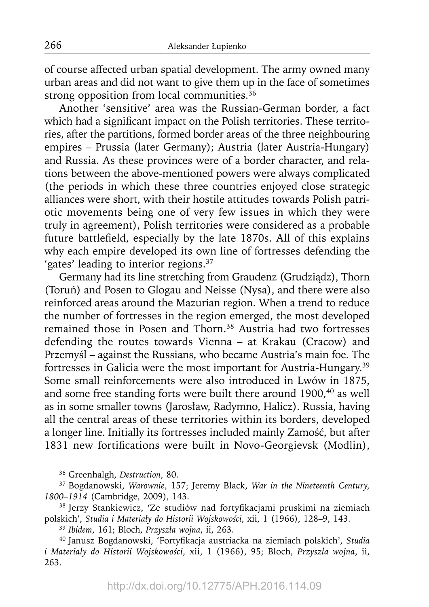of course affected urban spatial development. The army owned many urban areas and did not want to give them up in the face of sometimes strong opposition from local communities.<sup>36</sup>

Another 'sensitive' area was the Russian-German border, a fact which had a significant impact on the Polish territories. These territories, after the partitions, formed border areas of the three neighbouring empires – Prussia (later Germany); Austria (later Austria-Hungary) and Russia. As these provinces were of a border character, and relations between the above-mentioned powers were always complicated (the periods in which these three countries enjoyed close strategic alliances were short, with their hostile attitudes towards Polish patriotic movements being one of very few issues in which they were truly in agreement), Polish territories were considered as a probable future battlefield, especially by the late 1870s. All of this explains why each empire developed its own line of fortresses defending the 'gates' leading to interior regions.<sup>37</sup>

Germany had its line stretching from Graudenz (Grudziądz), Thorn (Toruń) and Posen to Glogau and Neisse (Nysa), and there were also reinforced areas around the Mazurian region. When a trend to reduce the number of fortresses in the region emerged, the most developed remained those in Posen and Thorn.38 Austria had two fortresses defending the routes towards Vienna – at Krakau (Cracow) and Przemyśl – against the Russians, who became Austria's main foe. The fortresses in Galicia were the most important for Austria-Hungary.39 Some small reinforcements were also introduced in Lwów in 1875, and some free standing forts were built there around 1900,<sup>40</sup> as well as in some smaller towns (Jarosław, Radymno, Halicz). Russia, having all the central areas of these territories within its borders, developed a longer line. Initially its fortresses included mainly Zamość, but after 1831 new fortifications were built in Novo-Georgievsk (Modlin),

<sup>36</sup> Greenhalgh, *Destruction*, 80.

<sup>37</sup> Bogdanowski, *Warownie*, 157; Jeremy Black, *War in the Nineteenth Century, 1800–1914* (Cambridge, 2009), 143.

<sup>38</sup> Jerzy Stankiewicz, 'Ze studiów nad fortyfikacjami pruskimi na ziemiach polskich', *Studia i Materiały do Historii Wojskowości*, xii, 1 (1966), 128–9, 143.

<sup>39</sup>*Ibidem*, 161; Bloch, *Przyszła wojna*, ii, 263.

<sup>40</sup> Janusz Bogdanowski, 'Fortyfi kacja austriacka na ziemiach polskich', *Studia i Materiały do Historii Wojskowości*, xii, 1 (1966), 95; Bloch, *Przyszła wojna*, ii, 263.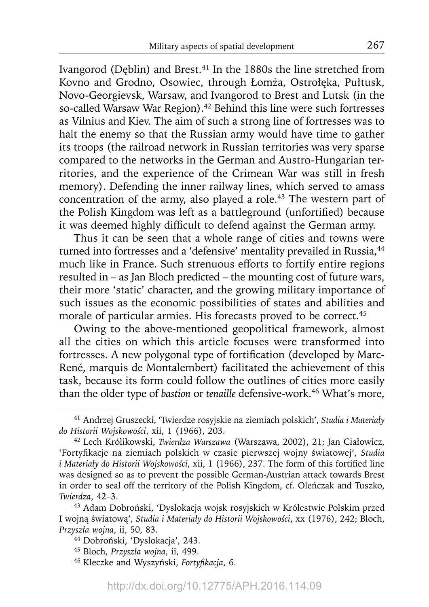Ivangorod (Deblin) and Brest.<sup>41</sup> In the 1880s the line stretched from Kovno and Grodno, Osowiec, through Łomża, Ostrołęka, Pułtusk, Novo-Georgievsk, Warsaw, and Ivangorod to Brest and Lutsk (in the so-called Warsaw War Region).<sup>42</sup> Behind this line were such fortresses as Vilnius and Kiev. The aim of such a strong line of fortresses was to halt the enemy so that the Russian army would have time to gather its troops (the railroad network in Russian territories was very sparse compared to the networks in the German and Austro-Hungarian territories, and the experience of the Crimean War was still in fresh memory). Defending the inner railway lines, which served to amass concentration of the army, also played a role.43 The western part of the Polish Kingdom was left as a battleground (unfortified) because it was deemed highly difficult to defend against the German army.

Thus it can be seen that a whole range of cities and towns were turned into fortresses and a 'defensive' mentality prevailed in Russia,<sup>44</sup> much like in France. Such strenuous efforts to fortify entire regions resulted in – as Jan Bloch predicted – the mounting cost of future wars, their more 'static' character, and the growing military importance of such issues as the economic possibilities of states and abilities and morale of particular armies. His forecasts proved to be correct.<sup>45</sup>

Owing to the above-mentioned geopolitical framework, almost all the cities on which this article focuses were transformed into fortresses. A new polygonal type of fortification (developed by Marc-René, marquis de Montalembert) facilitated the achievement of this task, because its form could follow the outlines of cities more easily than the older type of *bastion* or *tenaille* defensive-work.<sup>46</sup> What's more,

<sup>41</sup> Andrzej Gruszecki, 'Twierdze rosyjskie na ziemiach polskich', *Studia i Materiały do Historii Wojskowości*, xii, 1 (1966), 203.

<sup>42</sup> Lech Królikowski, *Twierdza Warszawa* (Warszawa, 2002), 21; Jan Ciałowicz, 'Fortyfikacje na ziemiach polskich w czasie pierwszej wojny światowej', Studia *i Materiały do Historii Wojskowości, xii, 1 (1966), 237. The form of this fortified line* was designed so as to prevent the possible German-Austrian attack towards Brest in order to seal off the territory of the Polish Kingdom, cf. Oleńczak and Tuszko, *Twierdza*, 42–3.

<sup>43</sup> Adam Dobroński, 'Dyslokacja wojsk rosyjskich w Królestwie Polskim przed I wojną światową', *Studia i Materiały do Historii Wojskowości*, xx (1976), 242; Bloch, *Przyszła wojna*, ii, 50, 83.

<sup>44</sup> Dobroński, 'Dyslokacja', 243.

<sup>45</sup> Bloch, *Przyszła wojna*, ii, 499.

<sup>&</sup>lt;sup>46</sup> Kleczke and Wyszyński, *Fortyfikacja*, 6.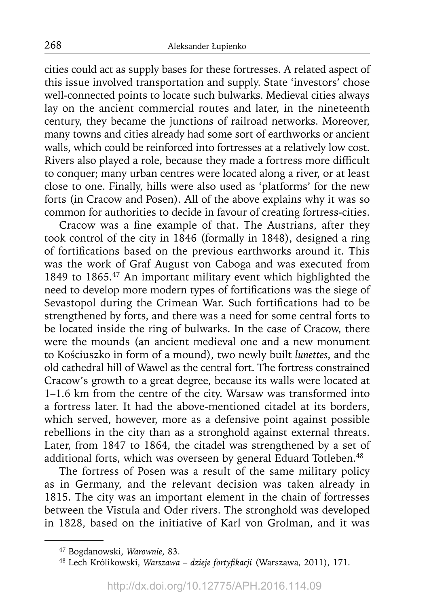cities could act as supply bases for these fortresses. A related aspect of this issue involved transportation and supply. State 'investors' chose well-connected points to locate such bulwarks. Medieval cities always lay on the ancient commercial routes and later, in the nineteenth century, they became the junctions of railroad networks. Moreover, many towns and cities already had some sort of earthworks or ancient walls, which could be reinforced into fortresses at a relatively low cost. Rivers also played a role, because they made a fortress more difficult to conquer; many urban centres were located along a river, or at least close to one. Finally, hills were also used as 'platforms' for the new forts (in Cracow and Posen). All of the above explains why it was so common for authorities to decide in favour of creating fortress-cities.

Cracow was a fine example of that. The Austrians, after they took control of the city in 1846 (formally in 1848), designed a ring of fortifications based on the previous earthworks around it. This was the work of Graf August von Caboga and was executed from 1849 to 1865.47 An important military event which highlighted the need to develop more modern types of fortifications was the siege of Sevastopol during the Crimean War. Such fortifications had to be strengthened by forts, and there was a need for some central forts to be located inside the ring of bulwarks. In the case of Cracow, there were the mounds (an ancient medieval one and a new monument to Kościuszko in form of a mound), two newly built *lunettes*, and the old cathedral hill of Wawel as the central fort. The fortress constrained Cracow's growth to a great degree, because its walls were located at 1–1.6 km from the centre of the city. Warsaw was transformed into a fortress later. It had the above-mentioned citadel at its borders, which served, however, more as a defensive point against possible rebellions in the city than as a stronghold against external threats. Later, from 1847 to 1864, the citadel was strengthened by a set of additional forts, which was overseen by general Eduard Totleben.<sup>48</sup>

The fortress of Posen was a result of the same military policy as in Germany, and the relevant decision was taken already in 1815. The city was an important element in the chain of fortresses between the Vistula and Oder rivers. The stronghold was developed in 1828, based on the initiative of Karl von Grolman, and it was

<sup>47</sup> Bogdanowski, *Warownie*, 83.

<sup>&</sup>lt;sup>48</sup> Lech Królikowski, *Warszawa – dzieje fortyfikacji* (Warszawa, 2011), 171.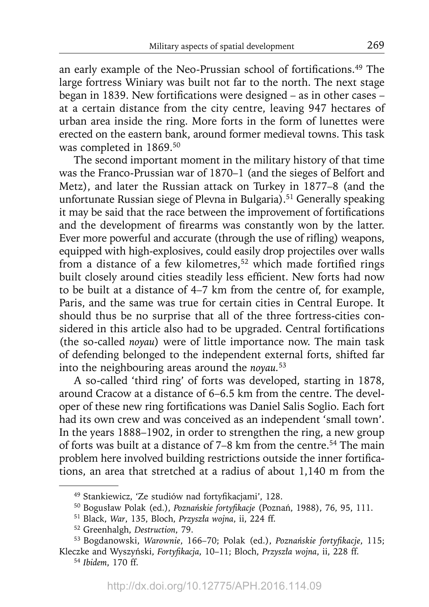an early example of the Neo-Prussian school of fortifications.<sup>49</sup> The large fortress Winiary was built not far to the north. The next stage began in 1839. New fortifications were designed – as in other cases – at a certain distance from the city centre, leaving 947 hectares of urban area inside the ring. More forts in the form of lunettes were erected on the eastern bank, around former medieval towns. This task was completed in 1869.50

The second important moment in the military history of that time was the Franco-Prussian war of 1870–1 (and the sieges of Belfort and Metz), and later the Russian attack on Turkey in 1877–8 (and the unfortunate Russian siege of Plevna in Bulgaria).51 Generally speaking it may be said that the race between the improvement of fortifications and the development of firearms was constantly won by the latter. Ever more powerful and accurate (through the use of rifling) weapons, equipped with high-explosives, could easily drop projectiles over walls from a distance of a few kilometres,<sup>52</sup> which made fortified rings built closely around cities steadily less efficient. New forts had now to be built at a distance of 4–7 km from the centre of, for example, Paris, and the same was true for certain cities in Central Europe. It should thus be no surprise that all of the three fortress-cities considered in this article also had to be upgraded. Central fortifications (the so-called *noyau*) were of little importance now. The main task of defending belonged to the independent external forts, shifted far into the neighbouring areas around the *noyau.*<sup>53</sup>

A so-called 'third ring' of forts was developed, starting in 1878, around Cracow at a distance of 6–6.5 km from the centre. The developer of these new ring fortifications was Daniel Salis Soglio. Each fort had its own crew and was conceived as an independent 'small town'. In the years 1888–1902, in order to strengthen the ring, a new group of forts was built at a distance of 7–8 km from the centre.<sup>54</sup> The main problem here involved building restrictions outside the inner fortifications, an area that stretched at a radius of about 1,140 m from the

<sup>&</sup>lt;sup>49</sup> Stankiewicz, 'Ze studiów nad fortyfikacjami', 128.

<sup>&</sup>lt;sup>50</sup> Bogusław Polak (ed.), *Poznańskie fortyfikacje* (Poznań, 1988), 76, 95, 111.

<sup>51</sup> Black, *War*, 135, Bloch, *Przyszła wojna*, ii, 224 ff.

<sup>52</sup> Greenhalgh, *Destruction*, 79.

<sup>53</sup> Bogdanowski, *Warownie*, 166–70; Polak (ed.), *Poznańskie fortyfi kacje*, 115; Kleczke and Wyszyński, *Fortyfi kacja*, 10–11; Bloch, *Przyszła wojna*, ii, 228 ff.

<sup>54</sup>*Ibidem*, 170 ff.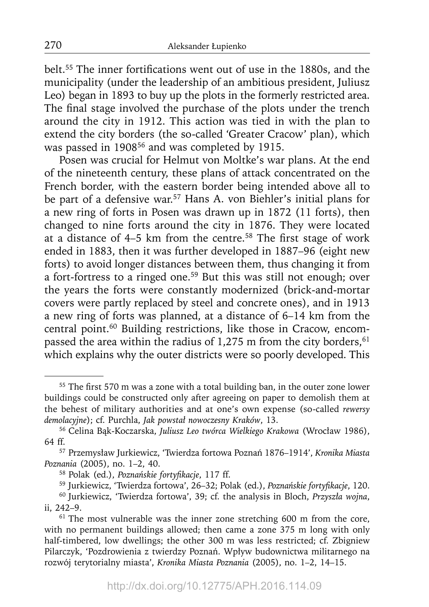belt.<sup>55</sup> The inner fortifications went out of use in the 1880s, and the municipality (under the leadership of an ambitious president, Juliusz Leo) began in 1893 to buy up the plots in the formerly restricted area. The final stage involved the purchase of the plots under the trench around the city in 1912. This action was tied in with the plan to extend the city borders (the so-called 'Greater Cracow' plan), which was passed in 1908<sup>56</sup> and was completed by 1915.

Posen was crucial for Helmut von Moltke's war plans. At the end of the nineteenth century, these plans of attack concentrated on the French border, with the eastern border being intended above all to be part of a defensive war.<sup>57</sup> Hans A. von Biehler's initial plans for a new ring of forts in Posen was drawn up in 1872 (11 forts), then changed to nine forts around the city in 1876. They were located at a distance of  $4-5$  km from the centre.<sup>58</sup> The first stage of work ended in 1883, then it was further developed in 1887–96 (eight new forts) to avoid longer distances between them, thus changing it from a fort-fortress to a ringed one.59 But this was still not enough; over the years the forts were constantly modernized (brick-and-mortar covers were partly replaced by steel and concrete ones), and in 1913 a new ring of forts was planned, at a distance of 6–14 km from the central point.<sup>60</sup> Building restrictions, like those in Cracow, encompassed the area within the radius of 1,275 m from the city borders,  $61$ which explains why the outer districts were so poorly developed. This

<sup>&</sup>lt;sup>55</sup> The first 570 m was a zone with a total building ban, in the outer zone lower buildings could be constructed only after agreeing on paper to demolish them at the behest of military authorities and at one's own expense (so-called *rewersy demolacyjne*); cf. Purchla, *Jak powstał nowoczesny Kraków*, 13.

<sup>56</sup> Celina Bąk-Koczarska, *Juliusz Leo twórca Wielkiego Krakowa* (Wrocław 1986), 64 ff.

<sup>57</sup> Przemysław Jurkiewicz, 'Twierdza fortowa Poznań 1876–1914', *Kronika Miasta Poznania* (2005), no. 1–2, 40.

<sup>&</sup>lt;sup>58</sup> Polak (ed.), *Poznańskie fortyfikacje*, 117 ff.

<sup>59</sup> Jurkiewicz, 'Twierdza fortowa', 26–32; Polak (ed.), *Poznańskie fortyfi kacje*, 120.

<sup>60</sup> Jurkiewicz, 'Twierdza fortowa', 39; cf. the analysis in Bloch, *Przyszła wojna*, ii, 242–9.

<sup>&</sup>lt;sup>61</sup> The most vulnerable was the inner zone stretching 600 m from the core, with no permanent buildings allowed; then came a zone 375 m long with only half-timbered, low dwellings; the other 300 m was less restricted; cf. Zbigniew Pilarczyk, 'Pozdrowienia z twierdzy Poznań. Wpływ budownictwa militarnego na rozwój terytorialny miasta', *Kronika Miasta Poznania* (2005), no. 1–2, 14–15.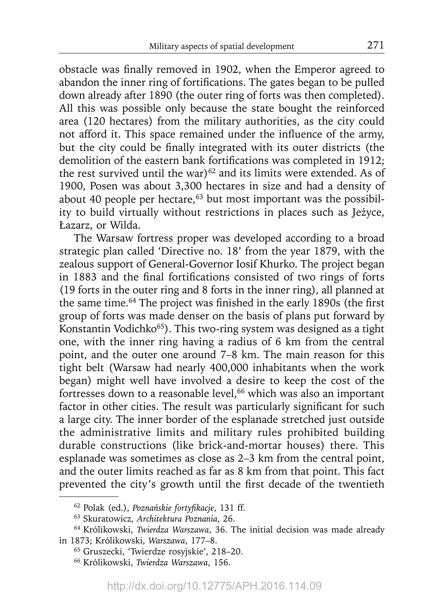obstacle was finally removed in 1902, when the Emperor agreed to abandon the inner ring of fortifications. The gates began to be pulled down already after 1890 (the outer ring of forts was then completed). All this was possible only because the state bought the reinforced area (120 hectares) from the military authorities, as the city could not afford it. This space remained under the influence of the army, but the city could be finally integrated with its outer districts (the demolition of the eastern bank fortifications was completed in 1912; the rest survived until the war) $62$  and its limits were extended. As of 1900, Posen was about 3,300 hectares in size and had a density of about 40 people per hectare, $63$  but most important was the possibility to build virtually without restrictions in places such as Jeżyce, Łazarz, or Wilda.

The Warsaw fortress proper was developed according to a broad strategic plan called 'Directive no. 18' from the year 1879, with the zealous support of General-Governor Iosif Khurko. The project began in 1883 and the final fortifications consisted of two rings of forts (19 forts in the outer ring and 8 forts in the inner ring), all planned at the same time.<sup>64</sup> The project was finished in the early 1890s (the first group of forts was made denser on the basis of plans put forward by Konstantin Vodichko<sup>65</sup>). This two-ring system was designed as a tight one, with the inner ring having a radius of 6 km from the central point, and the outer one around 7–8 km. The main reason for this tight belt (Warsaw had nearly 400,000 inhabitants when the work began) might well have involved a desire to keep the cost of the fortresses down to a reasonable level,<sup>66</sup> which was also an important factor in other cities. The result was particularly significant for such a large city. The inner border of the esplanade stretched just outside the administrative limits and military rules prohibited building durable constructions (like brick-and-mortar houses) there. This esplanade was sometimes as close as 2–3 km from the central point, and the outer limits reached as far as 8 km from that point. This fact prevented the city's growth until the first decade of the twentieth

<sup>62</sup> Polak (ed.), *Poznańskie fortyfi kacje*, 131 ff.

<sup>63</sup> Skuratowicz, *Architektura Poznania*, 26.

<sup>64</sup> Królikowski, *Twierdza Warszawa*, 36. The initial decision was made already in 1873; Królikowski, *Warszawa*, 177–8.

<sup>65</sup> Gruszecki, 'Twierdze rosyjskie', 218–20.

<sup>66</sup> Królikowski, *Twierdza Warszawa*, 156.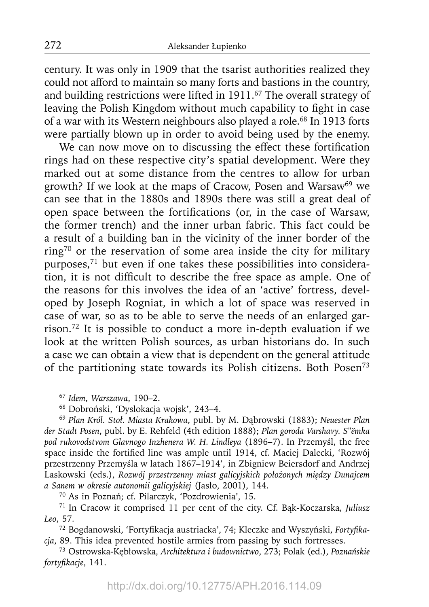century. It was only in 1909 that the tsarist authorities realized they could not afford to maintain so many forts and bastions in the country, and building restrictions were lifted in 1911.<sup>67</sup> The overall strategy of leaving the Polish Kingdom without much capability to fight in case of a war with its Western neighbours also played a role.<sup>68</sup> In 1913 forts were partially blown up in order to avoid being used by the enemy.

We can now move on to discussing the effect these fortification rings had on these respective city's spatial development. Were they marked out at some distance from the centres to allow for urban growth? If we look at the maps of Cracow, Posen and Warsaw<sup>69</sup> we can see that in the 1880s and 1890s there was still a great deal of open space between the fortifications (or, in the case of Warsaw, the former trench) and the inner urban fabric. This fact could be a result of a building ban in the vicinity of the inner border of the ring70 or the reservation of some area inside the city for military purposes,71 but even if one takes these possibilities into considera- $\frac{1}{1}$  tion, it is not difficult to describe the free space as ample. One of the reasons for this involves the idea of an 'active' fortress, developed by Joseph Rogniat, in which a lot of space was reserved in case of war, so as to be able to serve the needs of an enlarged garrison.72 It is possible to conduct a more in-depth evaluation if we look at the written Polish sources, as urban historians do. In such a case we can obtain a view that is dependent on the general attitude of the partitioning state towards its Polish citizens. Both Posen73

<sup>67</sup>*Idem*, *Warszawa*, 190–2.

<sup>68</sup> Dobroński, 'Dyslokacja wojsk', 243–4.

<sup>69</sup>*Plan Król. Stoł. Miasta Krakowa*, publ. by M. Dąbrowski (1883); *Neuester Plan der Stadt Posen*, publ. by E. Rehfeld (4th edition 1888); *Plan goroda Varshavy. S*"*ëmka pod rukovodstvom Glavnogo Inzhenera W. H. Lindleya* (1896–7). In Przemyśl, the free space inside the fortified line was ample until 1914, cf. Maciej Dalecki, 'Rozwój przestrzenny Przemyśla w latach 1867–1914', in Zbigniew Beiersdorf and Andrzej Laskowski (eds.), *Rozwój przestrzenny miast galicyjskich położonych między Dunajcem a Sanem w okresie autonomii galicyjskiej* (Jasło, 2001), 144.

<sup>70</sup> As in Poznań; cf. Pilarczyk, 'Pozdrowienia', 15.

<sup>71</sup> In Cracow it comprised 11 per cent of the city. Cf. Bąk-Koczarska, *Juliusz Leo*, 57.

<sup>&</sup>lt;sup>72</sup> Bogdanowski, 'Fortyfikacja austriacka', 74; Kleczke and Wyszyński, *Fortyfikacja*, 89. This idea prevented hostile armies from passing by such fortresses.

<sup>73</sup> Ostrowska-Kębłowska, *Architektura i budownictwo*, 273; Polak (ed.), *Poznańskie fortyfi kacje*, 141.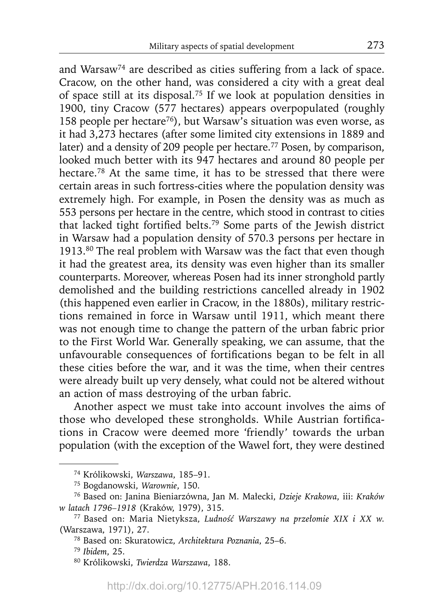and Warsaw<sup>74</sup> are described as cities suffering from a lack of space. Cracow, on the other hand, was considered a city with a great deal of space still at its disposal.75 If we look at population densities in 1900, tiny Cracow (577 hectares) appears overpopulated (roughly 158 people per hectare<sup>76</sup>), but Warsaw's situation was even worse, as it had 3,273 hectares (after some limited city extensions in 1889 and later) and a density of 209 people per hectare.<sup>77</sup> Posen, by comparison, looked much better with its 947 hectares and around 80 people per hectare.78 At the same time, it has to be stressed that there were certain areas in such fortress-cities where the population density was extremely high. For example, in Posen the density was as much as 553 persons per hectare in the centre, which stood in contrast to cities that lacked tight fortified belts.<sup>79</sup> Some parts of the Jewish district in Warsaw had a population density of 570.3 persons per hectare in 1913.80 The real problem with Warsaw was the fact that even though it had the greatest area, its density was even higher than its smaller counterparts. Moreover, whereas Posen had its inner stronghold partly demolished and the building restrictions cancelled already in 1902 (this happened even earlier in Cracow, in the 1880s), military restrictions remained in force in Warsaw until 1911, which meant there was not enough time to change the pattern of the urban fabric prior to the First World War. Generally speaking, we can assume, that the unfavourable consequences of fortifications began to be felt in all these cities before the war, and it was the time, when their centres were already built up very densely, what could not be altered without an action of mass destroying of the urban fabric.

Another aspect we must take into account involves the aims of those who developed these strongholds. While Austrian fortifications in Cracow were deemed more 'friendly' towards the urban population (with the exception of the Wawel fort, they were destined

<sup>74</sup> Królikowski, *Warszawa*, 185–91.

<sup>75</sup> Bogdanowski, *Warownie*, 150.

<sup>76</sup> Based on: Janina Bieniarzówna, Jan M. Małecki, *Dzieje Krakowa*, iii: *Kraków w latach 1796–1918* (Kraków, 1979), 315.

<sup>77</sup> Based on: Maria Nietyksza, *Ludność Warszawy na przełomie XIX i XX w.* (Warszawa, 1971), 27.

<sup>78</sup> Based on: Skuratowicz, *Architektura Poznania*, 25–6.

<sup>79</sup>*Ibidem*, 25.

<sup>80</sup> Królikowski, *Twierdza Warszawa*, 188.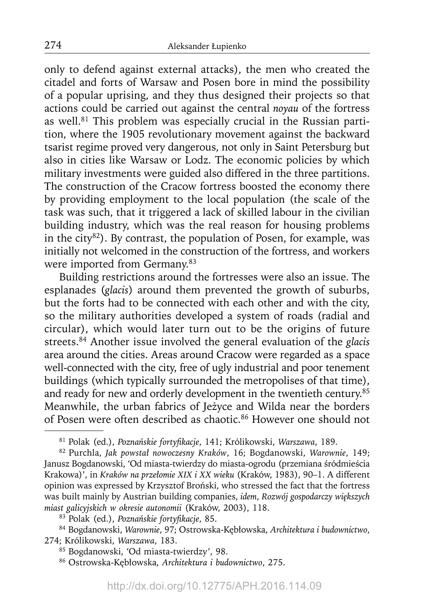only to defend against external attacks), the men who created the citadel and forts of Warsaw and Posen bore in mind the possibility of a popular uprising, and they thus designed their projects so that actions could be carried out against the central *noyau* of the fortress as well.<sup>81</sup> This problem was especially crucial in the Russian partition, where the 1905 revolutionary movement against the backward tsarist regime proved very dangerous, not only in Saint Petersburg but also in cities like Warsaw or Lodz. The economic policies by which military investments were guided also differed in the three partitions. The construction of the Cracow fortress boosted the economy there by providing employment to the local population (the scale of the task was such, that it triggered a lack of skilled labour in the civilian building industry, which was the real reason for housing problems in the city $82$ ). By contrast, the population of Posen, for example, was initially not welcomed in the construction of the fortress, and workers were imported from Germany.<sup>83</sup>

Building restrictions around the fortresses were also an issue. The esplanades (*glacis*) around them prevented the growth of suburbs, but the forts had to be connected with each other and with the city, so the military authorities developed a system of roads (radial and circular), which would later turn out to be the origins of future streets.84 Another issue involved the general evaluation of the *glacis* area around the cities. Areas around Cracow were regarded as a space well-connected with the city, free of ugly industrial and poor tenement buildings (which typically surrounded the metropolises of that time), and ready for new and orderly development in the twentieth century.85 Meanwhile, the urban fabrics of Jeżyce and Wilda near the borders of Posen were often described as chaotic.86 However one should not

<sup>81</sup> Polak (ed.), *Poznańskie fortyfi kacje*, 141; Królikowski, *Warszawa*, 189.

<sup>82</sup> Purchla, *Jak powstał nowoczesny Kraków*, 16; Bogdanowski, *Warownie*, 149; Janusz Bogdanowski, 'Od miasta-twierdzy do miasta-ogrodu (przemiana śródmieścia Krakowa)', in *Kraków na przełomie XIX i XX wieku* (Kraków, 1983), 90–1. A different opinion was expressed by Krzysztof Broński, who stressed the fact that the fortress was built mainly by Austrian building companies, *idem*, *Rozwój gospodarczy większych miast galicyjskich w okresie autonomii* (Kraków, 2003), 118.

<sup>83</sup> Polak (ed.), *Poznańskie fortyfikacje*, 85.

<sup>84</sup> Bogdanowski, *Warownie*, 97; Ostrowska-Kębłowska, *Architektura i budownictwo*, 274; Królikowski, *Warszawa*, 183.

<sup>85</sup> Bogdanowski, 'Od miasta-twierdzy', 98.

<sup>86</sup> Ostrowska-Kębłowska, *Architektura i budownictwo*, 275.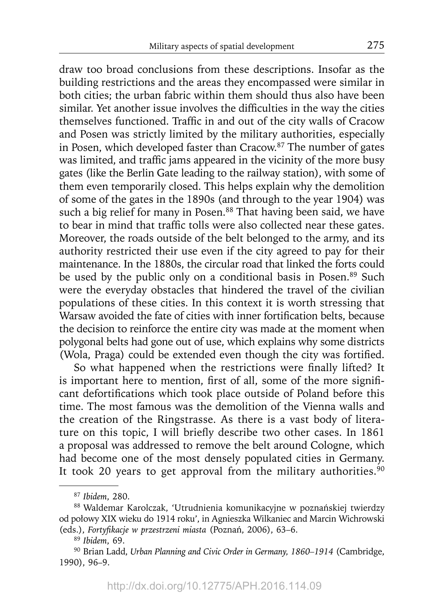draw too broad conclusions from these descriptions. Insofar as the building restrictions and the areas they encompassed were similar in both cities; the urban fabric within them should thus also have been similar. Yet another issue involves the difficulties in the way the cities themselves functioned. Traffic in and out of the city walls of Cracow and Posen was strictly limited by the military authorities, especially in Posen, which developed faster than Cracow.87 The number of gates was limited, and traffic jams appeared in the vicinity of the more busy gates (like the Berlin Gate leading to the railway station), with some of them even temporarily closed. This helps explain why the demolition of some of the gates in the 1890s (and through to the year 1904) was such a big relief for many in Posen.<sup>88</sup> That having been said, we have to bear in mind that traffic tolls were also collected near these gates. Moreover, the roads outside of the belt belonged to the army, and its authority restricted their use even if the city agreed to pay for their maintenance. In the 1880s, the circular road that linked the forts could be used by the public only on a conditional basis in Posen.<sup>89</sup> Such were the everyday obstacles that hindered the travel of the civilian populations of these cities. In this context it is worth stressing that Warsaw avoided the fate of cities with inner fortification belts, because the decision to reinforce the entire city was made at the moment when polygonal belts had gone out of use, which explains why some districts (Wola, Praga) could be extended even though the city was fortified.

So what happened when the restrictions were finally lifted? It is important here to mention, first of all, some of the more significant defortifications which took place outside of Poland before this time. The most famous was the demolition of the Vienna walls and the creation of the Ringstrasse. As there is a vast body of literature on this topic, I will briefly describe two other cases. In 1861 a proposal was addressed to remove the belt around Cologne, which had become one of the most densely populated cities in Germany. It took 20 years to get approval from the military authorities. $90$ 

<sup>87</sup>*Ibidem*, 280.

<sup>88</sup> Waldemar Karolczak, 'Utrudnienia komunikacyjne w poznańskiej twierdzy od połowy XIX wieku do 1914 roku', in Agnieszka Wilkaniec and Marcin Wichrowski (eds.), *Fortyfikacje w przestrzeni miasta* (Poznań, 2006), 63-6.

<sup>89</sup>*Ibidem*, 69.

<sup>90</sup> Brian Ladd, *Urban Planning and Civic Order in Germany, 1860–1914* (Cambridge, 1990), 96–9.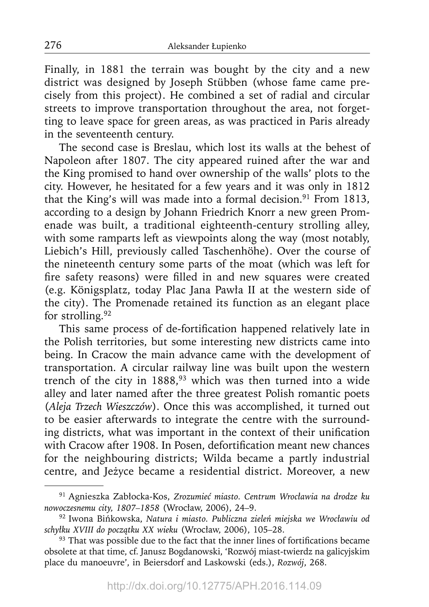Finally, in 1881 the terrain was bought by the city and a new district was designed by Joseph Stübben (whose fame came precisely from this project). He combined a set of radial and circular streets to improve transportation throughout the area, not forgetting to leave space for green areas, as was practiced in Paris already in the seventeenth century.

The second case is Breslau, which lost its walls at the behest of Napoleon after 1807. The city appeared ruined after the war and the King promised to hand over ownership of the walls' plots to the city. However, he hesitated for a few years and it was only in 1812 that the King's will was made into a formal decision.<sup>91</sup> From 1813, according to a design by Johann Friedrich Knorr a new green Promenade was built, a traditional eighteenth-century strolling alley, with some ramparts left as viewpoints along the way (most notably, Liebich's Hill, previously called Taschenhöhe). Over the course of the nineteenth century some parts of the moat (which was left for fire safety reasons) were filled in and new squares were created (e.g. Königsplatz, today Plac Jana Pawła II at the western side of the city). The Promenade retained its function as an elegant place for strolling.<sup>92</sup>

This same process of de-fortification happened relatively late in the Polish territories, but some interesting new districts came into being. In Cracow the main advance came with the development of transportation. A circular railway line was built upon the western trench of the city in  $1888$ ,<sup>93</sup> which was then turned into a wide alley and later named after the three greatest Polish romantic poets (*Aleja Trzech Wieszczów*). Once this was accomplished, it turned out to be easier afterwards to integrate the centre with the surrounding districts, what was important in the context of their unification with Cracow after 1908. In Posen, defortification meant new chances for the neighbouring districts; Wilda became a partly industrial centre, and Jeżyce became a residential district. Moreover, a new

<sup>91</sup> Agnieszka Zabłocka-Kos, *Zrozumieć miasto. Centrum Wrocławia na drodze ku nowoczesnemu city, 1807–1858* (Wrocław, 2006), 24–9.

<sup>92</sup> Iwona Bińkowska, *Natura i miasto. Publiczna zieleń miejska we Wrocławiu od schyłku XVIII do początku XX wieku* (Wrocław, 2006), 105–28.

 $93$  That was possible due to the fact that the inner lines of fortifications became obsolete at that time, cf. Janusz Bogdanowski, 'Rozwój miast-twierdz na galicyjskim place du manoeuvre', in Beiersdorf and Laskowski (eds.), *Rozwój*, 268.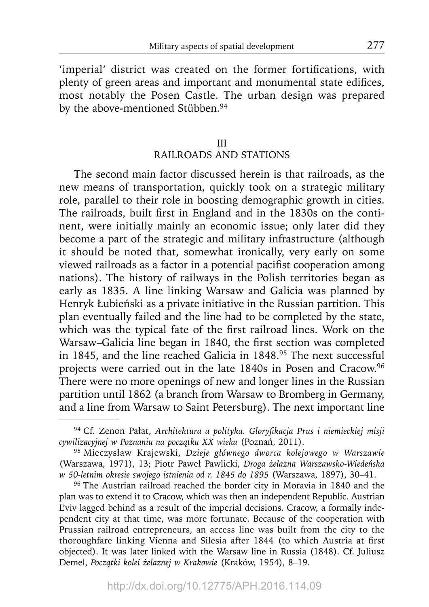'imperial' district was created on the former fortifications, with plenty of green areas and important and monumental state edifices, most notably the Posen Castle. The urban design was prepared by the above-mentioned Stübben.<sup>94</sup>

# III RAILROADS AND STATIONS

The second main factor discussed herein is that railroads, as the new means of transportation, quickly took on a strategic military role, parallel to their role in boosting demographic growth in cities. The railroads, built first in England and in the 1830s on the continent, were initially mainly an economic issue; only later did they become a part of the strategic and military infrastructure (although it should be noted that, somewhat ironically, very early on some viewed railroads as a factor in a potential pacifist cooperation among nations). The history of railways in the Polish territories began as early as 1835. A line linking Warsaw and Galicia was planned by Henryk Łubieński as a private initiative in the Russian partition. This plan eventually failed and the line had to be completed by the state, which was the typical fate of the first railroad lines. Work on the Warsaw–Galicia line began in 1840, the first section was completed in 1845, and the line reached Galicia in 1848.<sup>95</sup> The next successful projects were carried out in the late 1840s in Posen and Cracow.96 There were no more openings of new and longer lines in the Russian partition until 1862 (a branch from Warsaw to Bromberg in Germany, and a line from Warsaw to Saint Petersburg). The next important line

<sup>&</sup>lt;sup>94</sup> Cf. Zenon Pałat, Architektura a polityka. Gloryfikacja Prus i niemieckiej misji *cywilizacyjnej w Poznaniu na początku XX wieku* (Poznań, 2011).

<sup>95</sup> Mieczysław Krajewski, *Dzieje głównego dworca kolejowego w Warszawie* (Warszawa, 1971), 13; Piotr Paweł Pawlicki, *Droga żelazna Warszawsko-Wiedeńska w 50-letnim okresie swojego istnienia od r. 1845 do 1895* (Warszawa, 1897), 30–41.

<sup>&</sup>lt;sup>96</sup> The Austrian railroad reached the border city in Moravia in 1840 and the plan was to extend it to Cracow, which was then an independent Republic. Austrian L'viv lagged behind as a result of the imperial decisions. Cracow, a formally independent city at that time, was more fortunate. Because of the cooperation with Prussian railroad entrepreneurs, an access line was built from the city to the thoroughfare linking Vienna and Silesia after 1844 (to which Austria at first objected). It was later linked with the Warsaw line in Russia (1848). Cf. Juliusz Demel, *Początki kolei żelaznej w Krakowie* (Kraków, 1954), 8–19.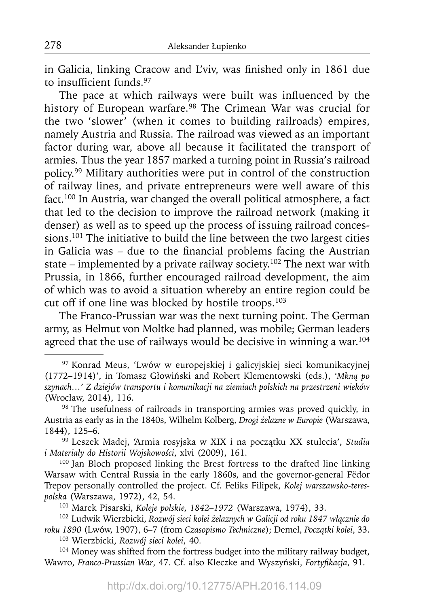in Galicia, linking Cracow and L'viv, was finished only in 1861 due to insufficient funds.<sup>97</sup>

The pace at which railways were built was influenced by the history of European warfare.<sup>98</sup> The Crimean War was crucial for the two 'slower' (when it comes to building railroads) empires, namely Austria and Russia. The railroad was viewed as an important factor during war, above all because it facilitated the transport of armies. Thus the year 1857 marked a turning point in Russia's railroad policy.99 Military authorities were put in control of the construction of railway lines, and private entrepreneurs were well aware of this fact.100 In Austria, war changed the overall political atmosphere, a fact that led to the decision to improve the railroad network (making it denser) as well as to speed up the process of issuing railroad concessions.101 The initiative to build the line between the two largest cities in Galicia was  $-$  due to the financial problems facing the Austrian state – implemented by a private railway society.<sup>102</sup> The next war with Prussia, in 1866, further encouraged railroad development, the aim of which was to avoid a situation whereby an entire region could be cut off if one line was blocked by hostile troops.<sup>103</sup>

The Franco-Prussian war was the next turning point. The German army, as Helmut von Moltke had planned, was mobile; German leaders agreed that the use of railways would be decisive in winning a war.<sup>104</sup>

<sup>100</sup> Jan Bloch proposed linking the Brest fortress to the drafted line linking Warsaw with Central Russia in the early 1860s, and the governor-general Fëdor Trepov personally controlled the project. Cf. Feliks Filipek, *Kolej warszawsko-terespolska* (Warszawa, 1972), 42, 54.

101 Marek Pisarski, *Koleje polskie, 1842–1972* (Warszawa, 1974), 33.

<sup>104</sup> Money was shifted from the fortress budget into the military railway budget, Wawro, *Franco-Prussian War*, 47. Cf. also Kleczke and Wyszyński, *Fortyfikacja*, 91.

<sup>97</sup> Konrad Meus, 'Lwów w europejskiej i galicyjskiej sieci komunikacyjnej (1772–1914)', in Tomasz Głowiński and Robert Klementowski (eds.), *'Mkną po szynach…' Z dziejów transportu i komunikacji na ziemiach polskich na przestrzeni wieków* (Wrocław, 2014), 116.

<sup>98</sup> The usefulness of railroads in transporting armies was proved quickly, in Austria as early as in the 1840s, Wilhelm Kolberg, *Drogi żelazne w Europie* (Warszawa, 1844), 125–6.

<sup>99</sup> Leszek Madej, 'Armia rosyjska w XIX i na początku XX stulecia', *Studia i Materiały do Historii Wojskowości*, xlvi (2009), 161.

<sup>102</sup> Ludwik Wierzbicki, *Rozwój sieci kolei żelaznych w Galicji od roku 1847 włącznie do roku 1890* (Lwów, 1907), 6–7 (from *Czasopismo Techniczne*); Demel, *Początki kolei*, 33. 103 Wierzbicki, *Rozwój sieci kolei*, 40.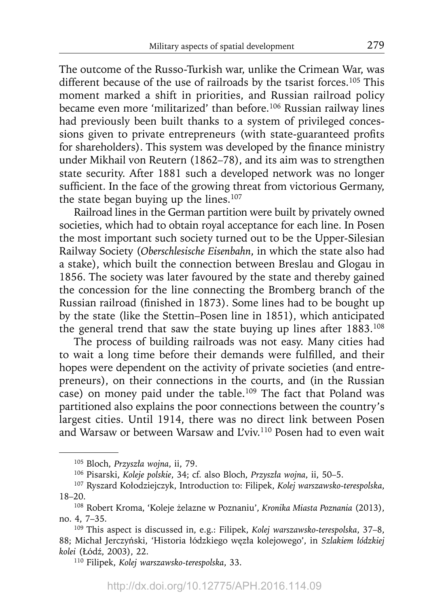The outcome of the Russo-Turkish war, unlike the Crimean War, was different because of the use of railroads by the tsarist forces.<sup>105</sup> This moment marked a shift in priorities, and Russian railroad policy became even more 'militarized' than before.<sup>106</sup> Russian railway lines had previously been built thanks to a system of privileged concessions given to private entrepreneurs (with state-guaranteed profits for shareholders). This system was developed by the finance ministry under Mikhail von Reutern (1862–78), and its aim was to strengthen state security. After 1881 such a developed network was no longer sufficient. In the face of the growing threat from victorious Germany, the state began buying up the lines. $107$ 

Railroad lines in the German partition were built by privately owned societies, which had to obtain royal acceptance for each line. In Posen the most important such society turned out to be the Upper-Silesian Railway Society (*Oberschlesische Eisenbahn*, in which the state also had a stake), which built the connection between Breslau and Glogau in 1856. The society was later favoured by the state and thereby gained the concession for the line connecting the Bromberg branch of the Russian railroad (finished in 1873). Some lines had to be bought up by the state (like the Stettin–Posen line in 1851), which anticipated the general trend that saw the state buying up lines after 1883.<sup>108</sup>

The process of building railroads was not easy. Many cities had to wait a long time before their demands were fulfilled, and their hopes were dependent on the activity of private societies (and entrepreneurs), on their connections in the courts, and (in the Russian case) on money paid under the table.<sup>109</sup> The fact that Poland was partitioned also explains the poor connections between the country's largest cities. Until 1914, there was no direct link between Posen and Warsaw or between Warsaw and L'viv.110 Posen had to even wait

<sup>105</sup> Bloch, *Przyszła wojna*, ii, 79.

<sup>106</sup> Pisarski, *Koleje polskie*, 34; cf. also Bloch, *Przyszła wojna*, ii, 50–5.

<sup>107</sup> Ryszard Kołodziejczyk, Introduction to: Filipek, *Kolej warszawsko-terespolska*, 18–20.

<sup>108</sup> Robert Kroma, 'Koleje żelazne w Poznaniu', *Kronika Miasta Poznania* (2013), no. 4, 7–35.

<sup>109</sup> This aspect is discussed in, e.g.: Filipek, *Kolej warszawsko-terespolska*, 37–8, 88; Michał Jerczyński, 'Historia łódzkiego węzła kolejowego', in *Szlakiem łódzkiej kolei* (Łódź, 2003), 22.

<sup>110</sup> Filipek, *Kolej warszawsko-terespolska*, 33.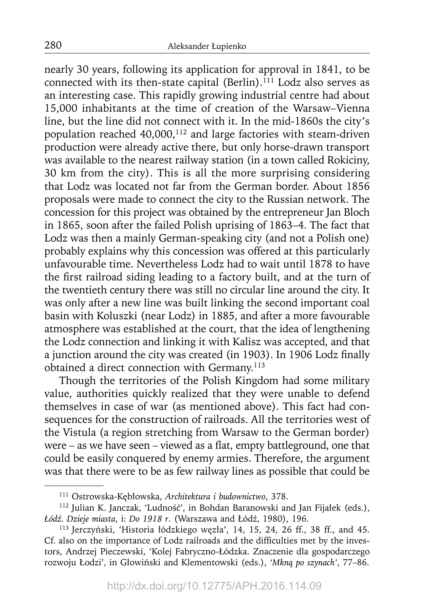nearly 30 years, following its application for approval in 1841, to be connected with its then-state capital (Berlin).<sup>111</sup> Lodz also serves as an interesting case. This rapidly growing industrial centre had about 15,000 inhabitants at the time of creation of the Warsaw–Vienna line, but the line did not connect with it. In the mid-1860s the city's population reached 40,000,<sup>112</sup> and large factories with steam-driven production were already active there, but only horse-drawn transport was available to the nearest railway station (in a town called Rokiciny, 30 km from the city). This is all the more surprising considering that Lodz was located not far from the German border. About 1856 proposals were made to connect the city to the Russian network. The concession for this project was obtained by the entrepreneur Jan Bloch in 1865, soon after the failed Polish uprising of 1863–4. The fact that Lodz was then a mainly German-speaking city (and not a Polish one) probably explains why this concession was offered at this particularly unfavourable time. Nevertheless Lodz had to wait until 1878 to have the first railroad siding leading to a factory built, and at the turn of the twentieth century there was still no circular line around the city. It was only after a new line was built linking the second important coal basin with Koluszki (near Lodz) in 1885, and after a more favourable atmosphere was established at the court, that the idea of lengthening the Lodz connection and linking it with Kalisz was accepted, and that a junction around the city was created (in 1903). In 1906 Lodz finally obtained a direct connection with Germany.<sup>113</sup>

Though the territories of the Polish Kingdom had some military value, authorities quickly realized that they were unable to defend themselves in case of war (as mentioned above). This fact had consequences for the construction of railroads. All the territories west of the Vistula (a region stretching from Warsaw to the German border) were – as we have seen – viewed as a flat, empty battleground, one that could be easily conquered by enemy armies. Therefore, the argument was that there were to be as few railway lines as possible that could be

<sup>111</sup> Ostrowska-Kębłowska, *Architektura i budownictwo*, 378.

<sup>112</sup> Julian K. Janczak, 'Ludność', in Bohdan Baranowski and Jan Fijałek (eds.), *Łódź. Dzieje miasta*, i: *Do 1918 r*. (Warszawa and Łódź, 1980), 196.

<sup>113</sup> Jerczyński, 'Historia łódzkiego węzła', 14, 15, 24, 26 ff., 38 ff., and 45. Cf. also on the importance of Lodz railroads and the difficulties met by the investors, Andrzej Pieczewski, 'Kolej Fabryczno-Łódzka. Znaczenie dla gospodarczego rozwoju Łodzi', in Głowiński and Klementowski (eds.), *'Mkną po szynach'*, 77–86.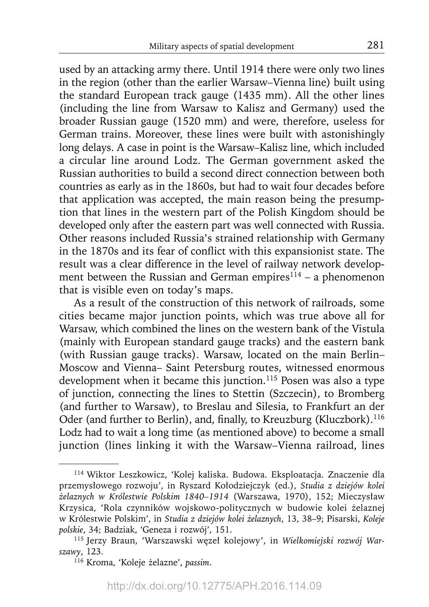used by an attacking army there. Until 1914 there were only two lines in the region (other than the earlier Warsaw–Vienna line) built using the standard European track gauge (1435 mm). All the other lines (including the line from Warsaw to Kalisz and Germany) used the broader Russian gauge (1520 mm) and were, therefore, useless for German trains. Moreover, these lines were built with astonishingly long delays. A case in point is the Warsaw–Kalisz line, which included a circular line around Lodz. The German government asked the Russian authorities to build a second direct connection between both countries as early as in the 1860s, but had to wait four decades before that application was accepted, the main reason being the presumption that lines in the western part of the Polish Kingdom should be developed only after the eastern part was well connected with Russia. Other reasons included Russia's strained relationship with Germany in the 1870s and its fear of conflict with this expansionist state. The result was a clear difference in the level of railway network development between the Russian and German empires $114 - a$  phenomenon that is visible even on today's maps.

As a result of the construction of this network of railroads, some cities became major junction points, which was true above all for Warsaw, which combined the lines on the western bank of the Vistula (mainly with European standard gauge tracks) and the eastern bank (with Russian gauge tracks). Warsaw, located on the main Berlin– Moscow and Vienna– Saint Petersburg routes, witnessed enormous development when it became this junction.<sup>115</sup> Posen was also a type of junction, connecting the lines to Stettin (Szczecin), to Bromberg (and further to Warsaw), to Breslau and Silesia, to Frankfurt an der Oder (and further to Berlin), and, finally, to Kreuzburg (Kluczbork).<sup>116</sup> Lodz had to wait a long time (as mentioned above) to become a small junction (lines linking it with the Warsaw–Vienna railroad, lines

<sup>114</sup> Wiktor Leszkowicz, 'Kolej kaliska. Budowa. Eksploatacja. Znaczenie dla przemysłowego rozwoju', in Ryszard Kołodziejczyk (ed.), *Studia z dziejów kolei żelaznych w Królestwie Polskim 1840–1914* (Warszawa, 1970), 152; Mieczysław Krzysica, 'Rola czynników wojskowo-politycznych w budowie kolei żelaznej w Królestwie Polskim', in *Studia z dziejów kolei żelaznych*, 13, 38–9; Pisarski, *Koleje polskie*, 34; Badziak, 'Geneza i rozwój', 151.

<sup>115</sup> Jerzy Braun, 'Warszawski węzeł kolejowy', in *Wielkomiejski rozwój Warsza wy*, 123.

<sup>116</sup> Kroma, 'Koleje żelazne', *passim*.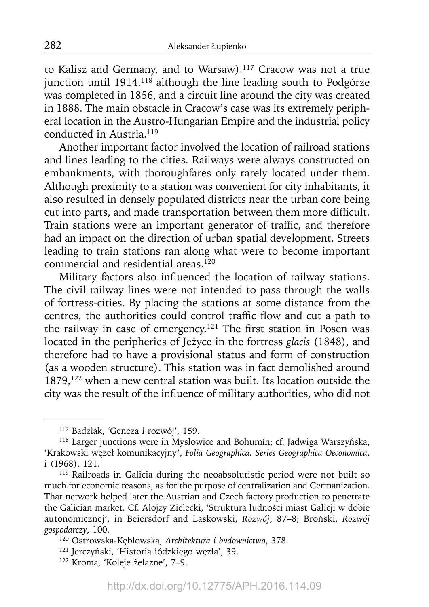to Kalisz and Germany, and to Warsaw).117 Cracow was not a true junction until  $1914$ ,  $118$  although the line leading south to Podgórze was completed in 1856, and a circuit line around the city was created in 1888. The main obstacle in Cracow's case was its extremely peripheral location in the Austro-Hungarian Empire and the industrial policy conducted in Austria.119

Another important factor involved the location of railroad stations and lines leading to the cities. Railways were always constructed on embankments, with thoroughfares only rarely located under them. Although proximity to a station was convenient for city inhabitants, it also resulted in densely populated districts near the urban core being cut into parts, and made transportation between them more difficult. Train stations were an important generator of traffic, and therefore had an impact on the direction of urban spatial development. Streets leading to train stations ran along what were to become important commercial and residential areas.<sup>120</sup>

Military factors also influenced the location of railway stations. The civil railway lines were not intended to pass through the walls of fortress-cities. By placing the stations at some distance from the centres, the authorities could control traffic flow and cut a path to the railway in case of emergency.<sup>121</sup> The first station in Posen was located in the peripheries of Jeżyce in the fortress *glacis* (1848), and therefore had to have a provisional status and form of construction (as a wooden structure). This station was in fact demolished around 1879,122 when a new central station was built. Its location outside the city was the result of the influence of military authorities, who did not

<sup>117</sup> Badziak, 'Geneza i rozwój', 159.

<sup>118</sup> Larger junctions were in Mysłowice and Bohumín; cf. Jadwiga Warszyńska, 'Krakowski węzeł komunikacyjny', *Folia Geographica. Series Geographica Oeconomica*, i (1968), 121.

<sup>&</sup>lt;sup>119</sup> Railroads in Galicia during the neoabsolutistic period were not built so much for economic reasons, as for the purpose of centralization and Germanization. That network helped later the Austrian and Czech factory production to penetrate the Galician market. Cf. Alojzy Zielecki, 'Struktura ludności miast Galicji w dobie autonomicznej', in Beiersdorf and Laskowski, *Rozwój*, 87–8; Broński, *Rozwój gospodarczy*, 100.

<sup>120</sup> Ostrowska-Kębłowska, *Architektura i budownictwo*, 378.

<sup>121</sup> Jerczyński, 'Historia łódzkiego węzła', 39.

<sup>122</sup> Kroma, 'Koleje żelazne', 7–9.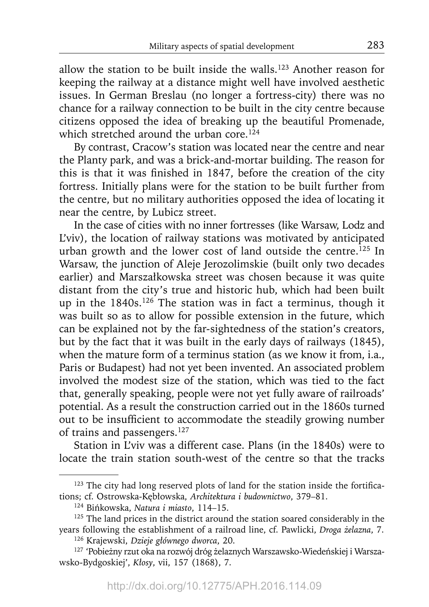allow the station to be built inside the walls.<sup>123</sup> Another reason for keeping the railway at a distance might well have involved aesthetic issues. In German Breslau (no longer a fortress-city) there was no chance for a railway connection to be built in the city centre because citizens opposed the idea of breaking up the beautiful Promenade, which stretched around the urban core.<sup>124</sup>

By contrast, Cracow's station was located near the centre and near the Planty park, and was a brick-and-mortar building. The reason for this is that it was finished in 1847, before the creation of the city fortress. Initially plans were for the station to be built further from the centre, but no military authorities opposed the idea of locating it near the centre, by Lubicz street.

In the case of cities with no inner fortresses (like Warsaw, Lodz and L'viv), the location of railway stations was motivated by anticipated urban growth and the lower cost of land outside the centre.125 In Warsaw, the junction of Aleje Jerozolimskie (built only two decades earlier) and Marszałkowska street was chosen because it was quite distant from the city's true and historic hub, which had been built up in the  $1840s$ .<sup>126</sup> The station was in fact a terminus, though it was built so as to allow for possible extension in the future, which can be explained not by the far-sightedness of the station's creators, but by the fact that it was built in the early days of railways (1845), when the mature form of a terminus station (as we know it from, i.a., Paris or Budapest) had not yet been invented. An associated problem involved the modest size of the station, which was tied to the fact that, generally speaking, people were not yet fully aware of railroads' potential. As a result the construction carried out in the 1860s turned out to be insufficient to accommodate the steadily growing number of trains and passengers.127

Station in L'viv was a different case. Plans (in the 1840s) were to locate the train station south-west of the centre so that the tracks

 $123$  The city had long reserved plots of land for the station inside the fortifications; cf. Ostrowska-Kębłowska, *Architektura i budownictwo*, 379–81.

<sup>124</sup> Bińkowska, *Natura i miasto*, 114–15.

<sup>&</sup>lt;sup>125</sup> The land prices in the district around the station soared considerably in the years following the establishment of a railroad line, cf. Pawlicki, *Droga żelazna*, 7.

<sup>126</sup> Krajewski, *Dzieje głównego dworca*, 20.

<sup>127 &#</sup>x27;Pobieżny rzut oka na rozwój dróg żelaznych Warszawsko-Wiedeńskiej i Warszawsko-Bydgoskiej', *Kłosy*, vii, 157 (1868), 7.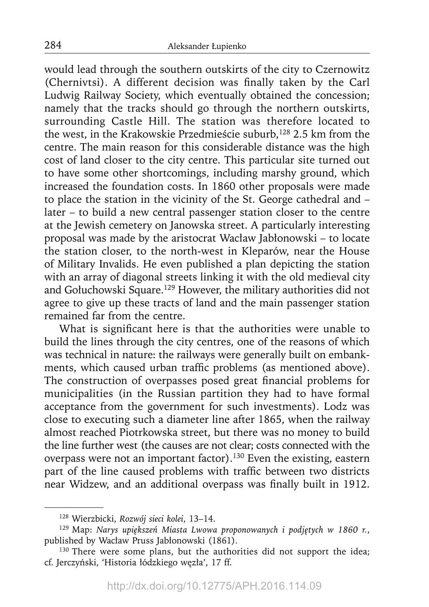would lead through the southern outskirts of the city to Czernowitz (Chernivtsi). A different decision was finally taken by the Carl Ludwig Railway Society, which eventually obtained the concession; namely that the tracks should go through the northern outskirts, surrounding Castle Hill. The station was therefore located to the west, in the Krakowskie Przedmieście suburb,<sup>128</sup> 2.5 km from the centre. The main reason for this considerable distance was the high cost of land closer to the city centre. This particular site turned out to have some other shortcomings, including marshy ground, which increased the foundation costs. In 1860 other proposals were made to place the station in the vicinity of the St. George cathedral and – later – to build a new central passenger station closer to the centre at the Jewish cemetery on Janowska street. A particularly interesting proposal was made by the aristocrat Wacław Jabłonowski – to locate the station closer, to the north-west in Kleparów, near the House of Military Invalids. He even published a plan depicting the station with an array of diagonal streets linking it with the old medieval city and Gołuchowski Square.129 However, the military authorities did not agree to give up these tracts of land and the main passenger station remained far from the centre.

What is significant here is that the authorities were unable to build the lines through the city centres, one of the reasons of which was technical in nature: the railways were generally built on embankments, which caused urban traffic problems (as mentioned above). The construction of overpasses posed great financial problems for municipalities (in the Russian partition they had to have formal acceptance from the government for such investments). Lodz was close to executing such a diameter line after 1865, when the railway almost reached Piotrkowska street, but there was no money to build the line further west (the causes are not clear; costs connected with the overpass were not an important factor).<sup>130</sup> Even the existing, eastern part of the line caused problems with traffic between two districts near Widzew, and an additional overpass was finally built in 1912.

<sup>128</sup> Wierzbicki, *Rozwój sieci kolei*, 13–14.

<sup>129</sup> Map: *Narys upiększeń Miasta Lwowa proponowanych i podjętych w 1860 r.*, published by Wacław Pruss Jabłonowski (1861).

<sup>&</sup>lt;sup>130</sup> There were some plans, but the authorities did not support the idea; cf. Jerczyński, 'Historia łódzkiego węzła', 17 ff.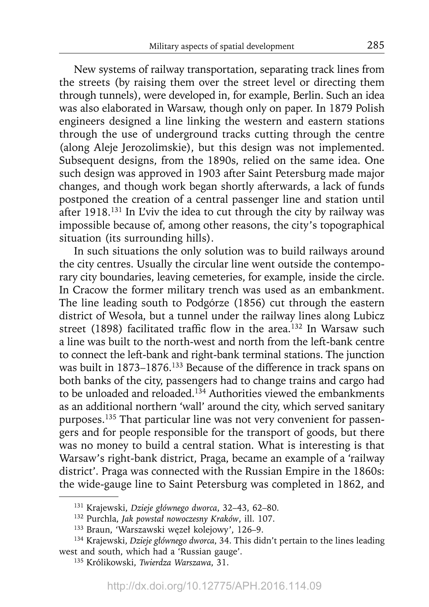New systems of railway transportation, separating track lines from the streets (by raising them over the street level or directing them through tunnels), were developed in, for example, Berlin. Such an idea was also elaborated in Warsaw, though only on paper. In 1879 Polish engineers designed a line linking the western and eastern stations through the use of underground tracks cutting through the centre (along Aleje Jerozolimskie), but this design was not implemented. Subsequent designs, from the 1890s, relied on the same idea. One such design was approved in 1903 after Saint Petersburg made major changes, and though work began shortly afterwards, a lack of funds postponed the creation of a central passenger line and station until after 1918.131 In L'viv the idea to cut through the city by railway was impossible because of, among other reasons, the city's topographical situation (its surrounding hills).

In such situations the only solution was to build railways around the city centres. Usually the circular line went outside the contemporary city boundaries, leaving cemeteries, for example, inside the circle. In Cracow the former military trench was used as an embankment. The line leading south to Podgórze (1856) cut through the eastern district of Wesoła, but a tunnel under the railway lines along Lubicz street (1898) facilitated traffic flow in the area.<sup>132</sup> In Warsaw such a line was built to the north-west and north from the left-bank centre to connect the left-bank and right-bank terminal stations. The junction was built in 1873–1876.<sup>133</sup> Because of the difference in track spans on both banks of the city, passengers had to change trains and cargo had to be unloaded and reloaded.<sup>134</sup> Authorities viewed the embankments as an additional northern 'wall' around the city, which served sanitary purposes.135 That particular line was not very convenient for passengers and for people responsible for the transport of goods, but there was no money to build a central station. What is interesting is that Warsaw's right-bank district, Praga, became an example of a 'railway district'. Praga was connected with the Russian Empire in the 1860s: the wide-gauge line to Saint Petersburg was completed in 1862, and

<sup>131</sup> Krajewski, *Dzieje głównego dworca*, 32–43, 62–80.

<sup>132</sup> Purchla, *Jak powstał nowoczesny Kraków*, ill. 107.

<sup>133</sup> Braun, 'Warszawski węzeł kolejowy', 126–9.

<sup>134</sup> Krajewski, *Dzieje głównego dworca*, 34. This didn't pertain to the lines leading west and south, which had a 'Russian gauge'.

<sup>135</sup> Królikowski, *Twierdza Warszawa*, 31.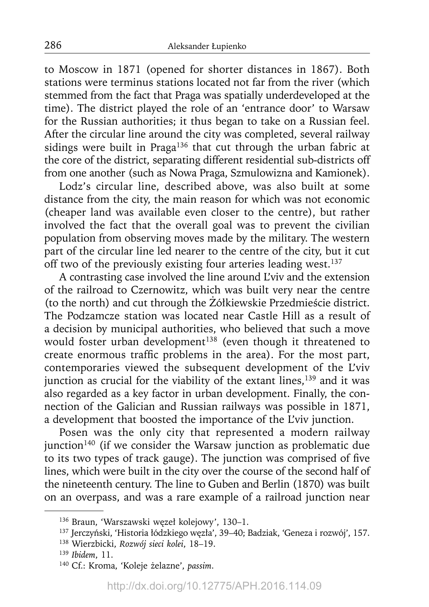to Moscow in 1871 (opened for shorter distances in 1867). Both stations were terminus stations located not far from the river (which stemmed from the fact that Praga was spatially underdeveloped at the time). The district played the role of an 'entrance door' to Warsaw for the Russian authorities; it thus began to take on a Russian feel. After the circular line around the city was completed, several railway sidings were built in Praga<sup>136</sup> that cut through the urban fabric at the core of the district, separating different residential sub-districts off from one another (such as Nowa Praga, Szmulowizna and Kamionek).

Lodz's circular line, described above, was also built at some distance from the city, the main reason for which was not economic (cheaper land was available even closer to the centre), but rather involved the fact that the overall goal was to prevent the civilian population from observing moves made by the military. The western part of the circular line led nearer to the centre of the city, but it cut off two of the previously existing four arteries leading west.<sup>137</sup>

A contrasting case involved the line around L'viv and the extension of the railroad to Czernowitz, which was built very near the centre (to the north) and cut through the Żółkiewskie Przedmieście district. The Podzamcze station was located near Castle Hill as a result of a decision by municipal authorities, who believed that such a move would foster urban development<sup>138</sup> (even though it threatened to create enormous traffic problems in the area). For the most part, contemporaries viewed the subsequent development of the L'viv junction as crucial for the viability of the extant lines,<sup>139</sup> and it was also regarded as a key factor in urban development. Finally, the connection of the Galician and Russian railways was possible in 1871, a development that boosted the importance of the L'viv junction.

Posen was the only city that represented a modern railway junction<sup>140</sup> (if we consider the Warsaw junction as problematic due to its two types of track gauge). The junction was comprised of five lines, which were built in the city over the course of the second half of the nineteenth century. The line to Guben and Berlin (1870) was built on an overpass, and was a rare example of a railroad junction near

<sup>136</sup> Braun, 'Warszawski węzeł kolejowy', 130–1.

<sup>137</sup> Jerczyński, 'Historia łódzkiego węzła', 39–40; Badziak, 'Geneza i rozwój', 157.

<sup>138</sup> Wierzbicki, *Rozwój sieci kolei*, 18–19.

<sup>139</sup>*Ibidem*, 11.

<sup>140</sup> Cf.: Kroma, 'Koleje żelazne', *passim*.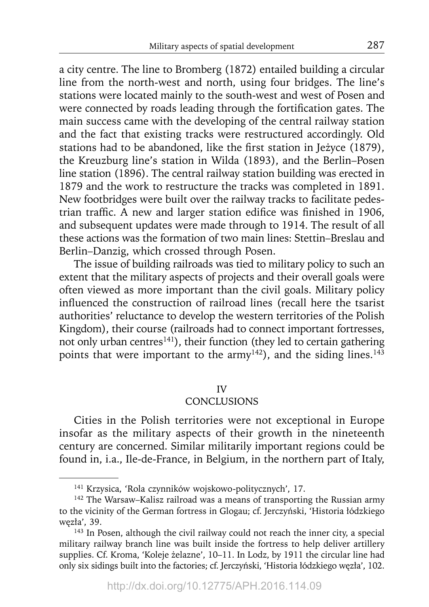a city centre. The line to Bromberg (1872) entailed building a circular line from the north-west and north, using four bridges. The line's stations were located mainly to the south-west and west of Posen and were connected by roads leading through the fortification gates. The main success came with the developing of the central railway station and the fact that existing tracks were restructured accordingly. Old stations had to be abandoned, like the first station in Jeżyce (1879), the Kreuzburg line's station in Wilda (1893), and the Berlin–Posen line station (1896). The central railway station building was erected in 1879 and the work to restructure the tracks was completed in 1891. New footbridges were built over the railway tracks to facilitate pedestrian traffic. A new and larger station edifice was finished in 1906, and subsequent updates were made through to 1914. The result of all these actions was the formation of two main lines: Stettin–Breslau and Berlin–Danzig, which crossed through Posen.

The issue of building railroads was tied to military policy to such an extent that the military aspects of projects and their overall goals were often viewed as more important than the civil goals. Military policy influenced the construction of railroad lines (recall here the tsarist authorities' reluctance to develop the western territories of the Polish Kingdom), their course (railroads had to connect important fortresses, not only urban centres<sup>141</sup>), their function (they led to certain gathering points that were important to the army<sup>142</sup>), and the siding lines.<sup>143</sup>

# IV

# **CONCLUSIONS**

Cities in the Polish territories were not exceptional in Europe insofar as the military aspects of their growth in the nineteenth century are concerned. Similar militarily important regions could be found in, i.a., Ile-de-France, in Belgium, in the northern part of Italy,

<sup>141</sup> Krzysica, 'Rola czynników wojskowo-politycznych', 17.

<sup>&</sup>lt;sup>142</sup> The Warsaw–Kalisz railroad was a means of transporting the Russian army to the vicinity of the German fortress in Glogau; cf. Jerczyński, 'Historia łódzkiego węzła', 39.

<sup>143</sup> In Posen, although the civil railway could not reach the inner city, a special military railway branch line was built inside the fortress to help deliver artillery supplies. Cf. Kroma, 'Koleje żelazne', 10–11. In Lodz, by 1911 the circular line had only six sidings built into the factories; cf. Jerczyński, 'Historia łódzkiego węzła', 102.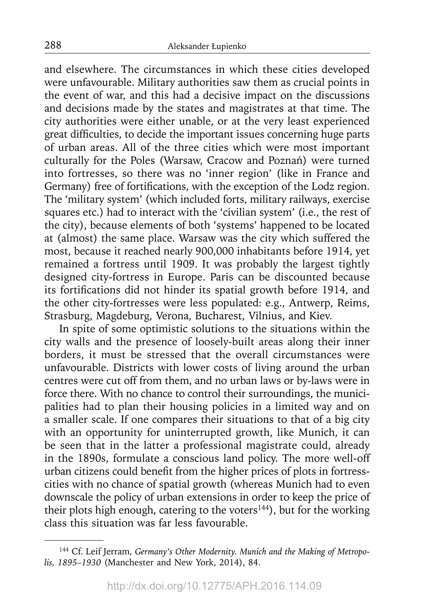and elsewhere. The circumstances in which these cities developed were unfavourable. Military authorities saw them as crucial points in the event of war, and this had a decisive impact on the discussions and decisions made by the states and magistrates at that time. The city authorities were either unable, or at the very least experienced great difficulties, to decide the important issues concerning huge parts of urban areas. All of the three cities which were most important culturally for the Poles (Warsaw, Cracow and Poznań) were turned into fortresses, so there was no 'inner region' (like in France and Germany) free of fortifications, with the exception of the Lodz region. The 'military system' (which included forts, military railways, exercise squares etc.) had to interact with the 'civilian system' (i.e., the rest of the city), because elements of both 'systems' happened to be located at (almost) the same place. Warsaw was the city which suffered the most, because it reached nearly 900,000 inhabitants before 1914, yet remained a fortress until 1909. It was probably the largest tightly designed city-fortress in Europe. Paris can be discounted because its fortifications did not hinder its spatial growth before 1914, and the other city-fortresses were less populated: e.g., Antwerp, Reims, Strasburg, Magdeburg, Verona, Bucharest, Vilnius, and Kiev.

In spite of some optimistic solutions to the situations within the city walls and the presence of loosely-built areas along their inner borders, it must be stressed that the overall circumstances were unfavourable. Districts with lower costs of living around the urban centres were cut off from them, and no urban laws or by-laws were in force there. With no chance to control their surroundings, the municipalities had to plan their housing policies in a limited way and on a smaller scale. If one compares their situations to that of a big city with an opportunity for uninterrupted growth, like Munich, it can be seen that in the latter a professional magistrate could, already in the 1890s, formulate a conscious land policy. The more well-off urban citizens could benefit from the higher prices of plots in fortresscities with no chance of spatial growth (whereas Munich had to even downscale the policy of urban extensions in order to keep the price of their plots high enough, catering to the voters $144$ ), but for the working class this situation was far less favourable.

<sup>&</sup>lt;sup>144</sup> Cf. Leif Jerram, Germany's Other Modernity. Munich and the Making of Metropo*lis, 1895–1930* (Manchester and New York, 2014), 84.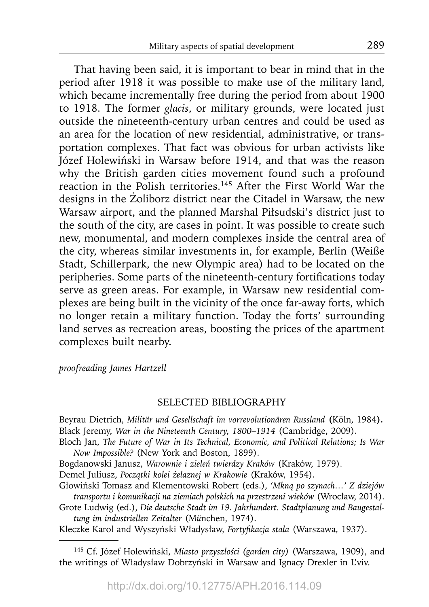That having been said, it is important to bear in mind that in the period after 1918 it was possible to make use of the military land, which became incrementally free during the period from about 1900 to 1918. The former *glacis*, or military grounds, were located just outside the nineteenth-century urban centres and could be used as an area for the location of new residential, administrative, or transportation complexes. That fact was obvious for urban activists like Józef Holewiński in Warsaw before 1914, and that was the reason why the British garden cities movement found such a profound reaction in the Polish territories.145 After the First World War the designs in the Żoliborz district near the Citadel in Warsaw, the new Warsaw airport, and the planned Marshal Piłsudski's district just to the south of the city, are cases in point. It was possible to create such new, monumental, and modern complexes inside the central area of the city, whereas similar investments in, for example, Berlin (Weiße Stadt, Schillerpark, the new Olympic area) had to be located on the peripheries. Some parts of the nineteenth-century fortifications today serve as green areas. For example, in Warsaw new residential complexes are being built in the vicinity of the once far-away forts, which no longer retain a military function. Today the forts' surrounding land serves as recreation areas, boosting the prices of the apartment complexes built nearby.

*proofreading James Hartzell*

#### SELECTED BIBLIOGRAPHY

Beyrau Dietrich, *Militär und Gesellschaft im vorrevolutionären Russland* **(**Köln, 1984**).** Black Jeremy, *War in the Nineteenth Century, 1800–1914* (Cambridge, 2009).

Bloch Jan, *The Future of War in Its Technical, Economic, and Political Relations; Is War Now Impossible?* (New York and Boston, 1899).

Bogdanowski Janusz, *Warownie i zieleń twierdzy Kraków* (Kraków, 1979).

Demel Juliusz, *Początki kolei żelaznej w Krakowie* (Kraków, 1954).

Głowiński Tomasz and Klementowski Robert (eds.), *'Mkną po szynach…' Z dziejów transportu i komunikacji na ziemiach polskich na przestrzeni wieków* (Wrocław, 2014).

Grote Ludwig (ed.), *Die deutsche Stadt im 19. Jahrhundert. Stadtplanung und Baugestaltung im industriellen Zeitalter* (M*ü*nchen, 1974).

Kleczke Karol and Wyszyński Władysław, *Fortyfi kacja stała* (Warszawa, 1937).

145 Cf. Józef Holewiński, *Miasto przyszłości (garden city)* (Warszawa, 1909), and the writings of Władysław Dobrzyński in Warsaw and Ignacy Drexler in L'viv.